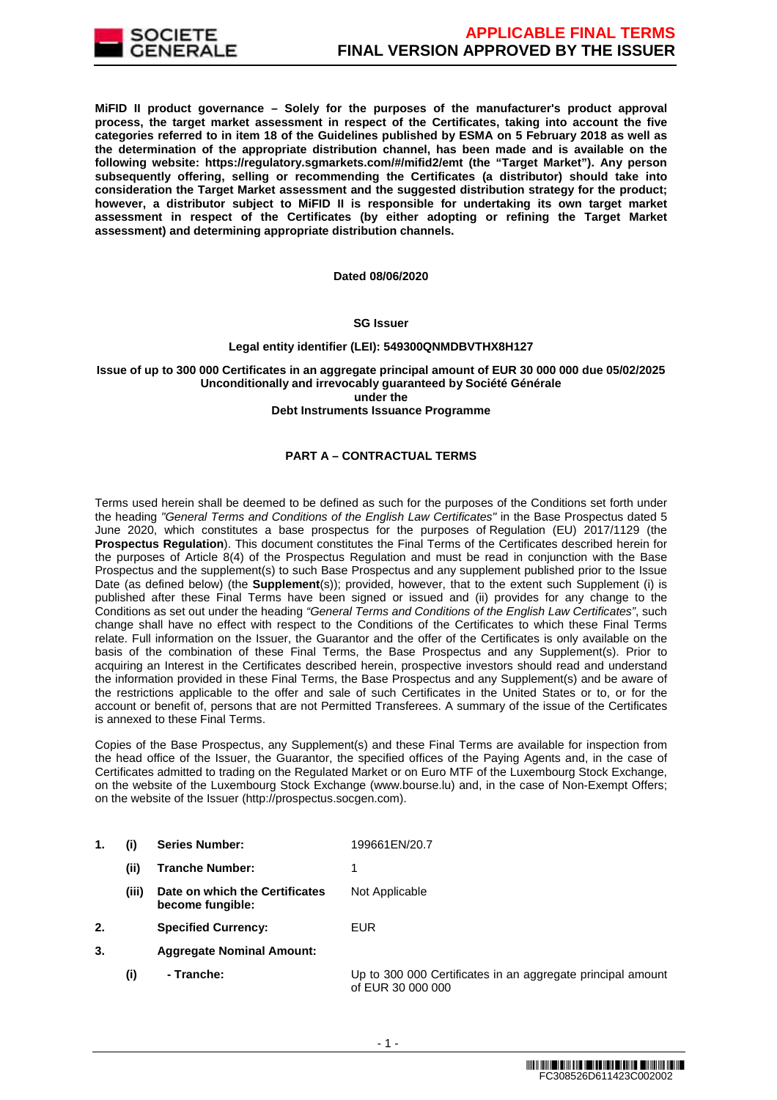

**MiFID II product governance – Solely for the purposes of the manufacturer's product approval process, the target market assessment in respect of the Certificates, taking into account the five categories referred to in item 18 of the Guidelines published by ESMA on 5 February 2018 as well as the determination of the appropriate distribution channel, has been made and is available on the following website: https://regulatory.sgmarkets.com/#/mifid2/emt (the "Target Market"). Any person subsequently offering, selling or recommending the Certificates (a distributor) should take into consideration the Target Market assessment and the suggested distribution strategy for the product; however, a distributor subject to MiFID II is responsible for undertaking its own target market assessment in respect of the Certificates (by either adopting or refining the Target Market assessment) and determining appropriate distribution channels.**

**Dated 08/06/2020**

## **SG Issuer**

# **Legal entity identifier (LEI): 549300QNMDBVTHX8H127**

# **Issue of up to 300 000 Certificates in an aggregate principal amount of EUR 30 000 000 due 05/02/2025 Unconditionally and irrevocably guaranteed by Société Générale under the**

## **Debt Instruments Issuance Programme**

# **PART A – CONTRACTUAL TERMS**

Terms used herein shall be deemed to be defined as such for the purposes of the Conditions set forth under the heading "General Terms and Conditions of the English Law Certificates" in the Base Prospectus dated 5 June 2020, which constitutes a base prospectus for the purposes of Regulation (EU) 2017/1129 (the **Prospectus Regulation**). This document constitutes the Final Terms of the Certificates described herein for the purposes of Article 8(4) of the Prospectus Regulation and must be read in conjunction with the Base Prospectus and the supplement(s) to such Base Prospectus and any supplement published prior to the Issue Date (as defined below) (the **Supplement**(s)); provided, however, that to the extent such Supplement (i) is published after these Final Terms have been signed or issued and (ii) provides for any change to the Conditions as set out under the heading "General Terms and Conditions of the English Law Certificates", such change shall have no effect with respect to the Conditions of the Certificates to which these Final Terms relate. Full information on the Issuer, the Guarantor and the offer of the Certificates is only available on the basis of the combination of these Final Terms, the Base Prospectus and any Supplement(s). Prior to acquiring an Interest in the Certificates described herein, prospective investors should read and understand the information provided in these Final Terms, the Base Prospectus and any Supplement(s) and be aware of the restrictions applicable to the offer and sale of such Certificates in the United States or to, or for the account or benefit of, persons that are not Permitted Transferees. A summary of the issue of the Certificates is annexed to these Final Terms.

Copies of the Base Prospectus, any Supplement(s) and these Final Terms are available for inspection from the head office of the Issuer, the Guarantor, the specified offices of the Paying Agents and, in the case of Certificates admitted to trading on the Regulated Market or on Euro MTF of the Luxembourg Stock Exchange, on the website of the Luxembourg Stock Exchange (www.bourse.lu) and, in the case of Non-Exempt Offers; on the website of the Issuer (http://prospectus.socgen.com).

- **1. (i) Series Number:** 199661EN/20.7
	- **(ii) Tranche Number:** 1
- **(iii) Date on which the Certificates become fungible:** Not Applicable
- **2. Specified Currency:** EUR
- **3. Aggregate Nominal Amount:**
	- **(i) Tranche:** Up to 300 000 Certificates in an aggregate principal amount of EUR 30 000 000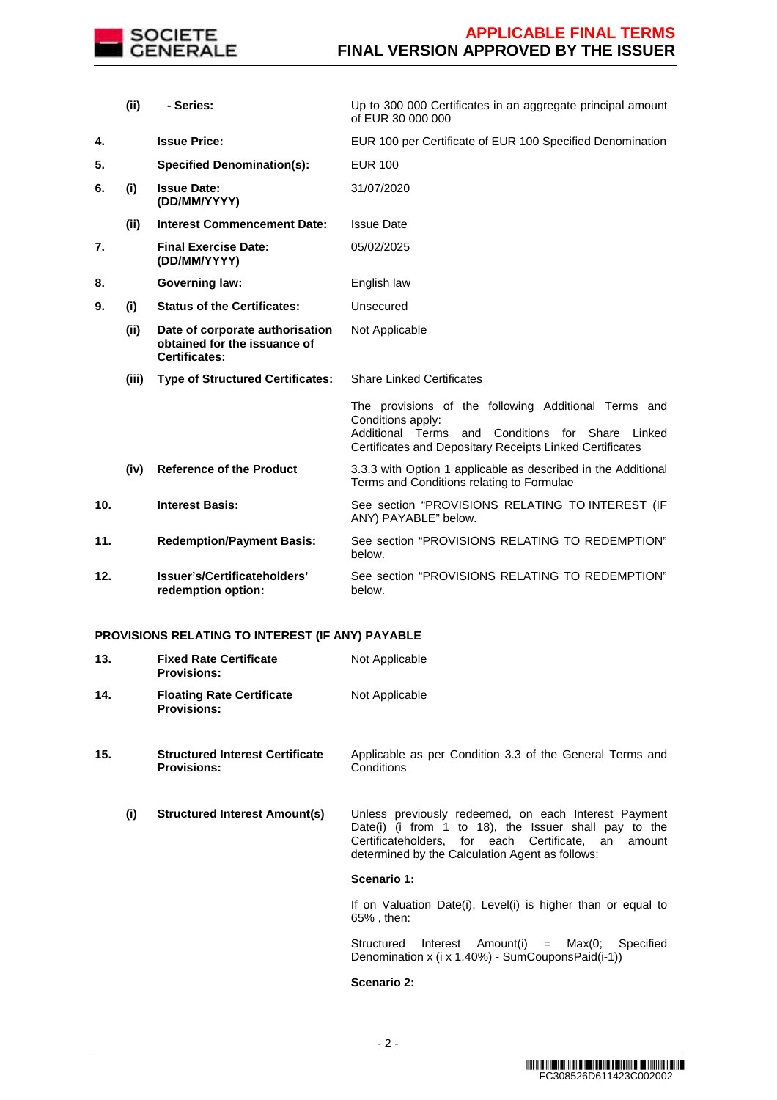

|     | (ii)  | - Series:                                                                               | Up to 300 000 Certificates in an aggregate principal amount<br>of EUR 30 000 000                                                                                                                   |
|-----|-------|-----------------------------------------------------------------------------------------|----------------------------------------------------------------------------------------------------------------------------------------------------------------------------------------------------|
| 4.  |       | <b>Issue Price:</b>                                                                     | EUR 100 per Certificate of EUR 100 Specified Denomination                                                                                                                                          |
| 5.  |       | <b>Specified Denomination(s):</b>                                                       | <b>EUR 100</b>                                                                                                                                                                                     |
| 6.  | (i)   | <b>Issue Date:</b><br>(DD/MM/YYYY)                                                      | 31/07/2020                                                                                                                                                                                         |
|     | (ii)  | <b>Interest Commencement Date:</b>                                                      | <b>Issue Date</b>                                                                                                                                                                                  |
| 7.  |       | <b>Final Exercise Date:</b><br>(DD/MM/YYYY)                                             | 05/02/2025                                                                                                                                                                                         |
| 8.  |       | <b>Governing law:</b>                                                                   | English law                                                                                                                                                                                        |
| 9.  | (i)   | <b>Status of the Certificates:</b>                                                      | Unsecured                                                                                                                                                                                          |
|     | (ii)  | Date of corporate authorisation<br>obtained for the issuance of<br><b>Certificates:</b> | Not Applicable                                                                                                                                                                                     |
|     | (iii) | <b>Type of Structured Certificates:</b>                                                 | <b>Share Linked Certificates</b>                                                                                                                                                                   |
|     |       |                                                                                         | The provisions of the following Additional Terms and<br>Conditions apply:<br>Additional Terms<br>and Conditions<br>for Share<br>Linked<br>Certificates and Depositary Receipts Linked Certificates |
|     | (iv)  | <b>Reference of the Product</b>                                                         | 3.3.3 with Option 1 applicable as described in the Additional<br>Terms and Conditions relating to Formulae                                                                                         |
| 10. |       | <b>Interest Basis:</b>                                                                  | See section "PROVISIONS RELATING TO INTEREST (IF<br>ANY) PAYABLE" below.                                                                                                                           |
| 11. |       | <b>Redemption/Payment Basis:</b>                                                        | See section "PROVISIONS RELATING TO REDEMPTION"<br>below.                                                                                                                                          |
| 12. |       | Issuer's/Certificateholders'<br>redemption option:                                      | See section "PROVISIONS RELATING TO REDEMPTION"<br>below.                                                                                                                                          |

# **PROVISIONS RELATING TO INTEREST (IF ANY) PAYABLE**

| 13. |     | <b>Fixed Rate Certificate</b><br><b>Provisions:</b>          | Not Applicable                                                                                                                                                                                                             |
|-----|-----|--------------------------------------------------------------|----------------------------------------------------------------------------------------------------------------------------------------------------------------------------------------------------------------------------|
| 14. |     | <b>Floating Rate Certificate</b><br><b>Provisions:</b>       | Not Applicable                                                                                                                                                                                                             |
| 15. |     | <b>Structured Interest Certificate</b><br><b>Provisions:</b> | Applicable as per Condition 3.3 of the General Terms and<br>Conditions                                                                                                                                                     |
|     | (i) | <b>Structured Interest Amount(s)</b>                         | Unless previously redeemed, on each Interest Payment<br>Date(i) (i from 1 to 18), the Issuer shall pay to the<br>Certificateholders, for each Certificate, an<br>amount<br>determined by the Calculation Agent as follows: |
|     |     |                                                              | Scenario 1:                                                                                                                                                                                                                |
|     |     |                                                              | If on Valuation Date(i), Level(i) is higher than or equal to<br>65%, then:                                                                                                                                                 |
|     |     |                                                              | Interest Amount(i)<br>$=$ Max(0;<br>Structured<br>Specified<br>Denomination x (i x 1.40%) - SumCouponsPaid(i-1))                                                                                                           |
|     |     |                                                              | Scenario 2:                                                                                                                                                                                                                |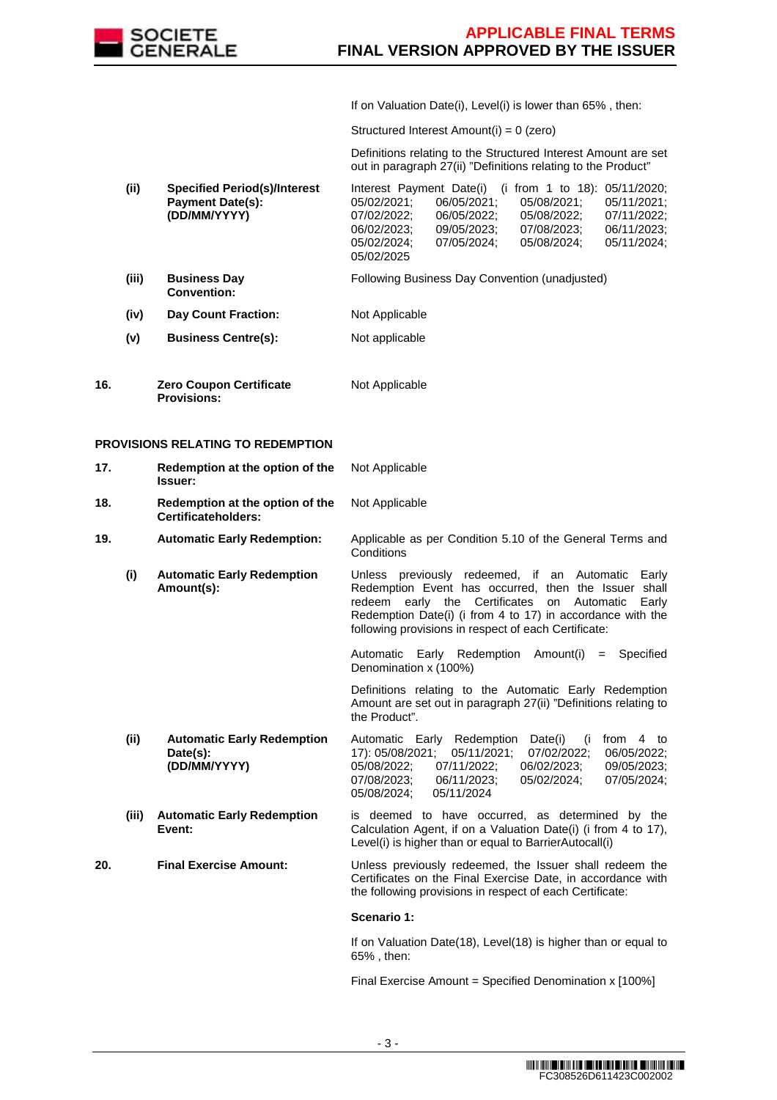

If on Valuation Date(i), Level(i) is lower than 65% , then:

Structured Interest Amount(i) = 0 (zero)

 Definitions relating to the Structured Interest Amount are set out in paragraph 27(ii) "Definitions relating to the Product"

|     | (ii)                                     | <b>Specified Period(s)/Interest</b><br><b>Payment Date(s):</b><br>(DD/MM/YYYY) | Interest Payment Date(i) (i from 1 to 18): $05/11/2020$ ;<br>05/02/2021:<br>05/08/2021:<br>05/11/2021;<br>06/05/2021:<br>07/02/2022;<br>06/05/2022:<br>05/08/2022;<br>07/11/2022:<br>06/02/2023:<br>09/05/2023:<br>06/11/2023:<br>07/08/2023:<br>05/02/2024;<br>07/05/2024;<br>05/08/2024;<br>05/11/2024;<br>05/02/2025 |
|-----|------------------------------------------|--------------------------------------------------------------------------------|-------------------------------------------------------------------------------------------------------------------------------------------------------------------------------------------------------------------------------------------------------------------------------------------------------------------------|
|     | (iii)                                    | <b>Business Day</b><br><b>Convention:</b>                                      | Following Business Day Convention (unadjusted)                                                                                                                                                                                                                                                                          |
|     | (iv)                                     | <b>Day Count Fraction:</b>                                                     | Not Applicable                                                                                                                                                                                                                                                                                                          |
|     | (v)                                      | <b>Business Centre(s):</b>                                                     | Not applicable                                                                                                                                                                                                                                                                                                          |
| 16. |                                          | <b>Zero Coupon Certificate</b><br><b>Provisions:</b>                           | Not Applicable                                                                                                                                                                                                                                                                                                          |
|     | <b>PROVISIONS RELATING TO REDEMPTION</b> |                                                                                |                                                                                                                                                                                                                                                                                                                         |

| 17. | Redemption at the option of the<br><b>Issuer:</b> | Not Applicable |
|-----|---------------------------------------------------|----------------|
| 18. | Redemption at the option of the                   | Not Applicable |

**18. Redemption at the option of the Certificateholders:**

**19. Automatic Early Redemption:** Applicable as per Condition 5.10 of the General Terms and **Conditions** 

**(i) Automatic Early Redemption Amount(s):** Unless previously redeemed, if an Automatic Early Redemption Event has occurred, then the Issuer shall redeem early the Certificates on Automatic Early Redemption Date(i) (i from 4 to 17) in accordance with the following provisions in respect of each Certificate:

> Automatic Early Redemption Amount(i) = Specified Denomination x (100%)

 Definitions relating to the Automatic Early Redemption Amount are set out in paragraph 27(ii) "Definitions relating to the Product".

- **(ii) Automatic Early Redemption Date(s): (DD/MM/YYYY)** Automatic Early Redemption Date(i) (i from 4 to 17): 05/08/2021; 05/11/2021; 07/02/2022; 06/05/2022; 05/08/2022; 07/11/2022; 06/02/2023; 09/05/2023; 07/08/2023; 06/11/2023; 05/02/2024; 07/05/2024; 05/08/2024;
- **(iii) Automatic Early Redemption Event:** is deemed to have occurred, as determined by the Calculation Agent, if on a Valuation Date(i) (i from 4 to 17), Level(i) is higher than or equal to BarrierAutocall(i)

**20. Final Exercise Amount:** Unless previously redeemed, the Issuer shall redeem the Certificates on the Final Exercise Date, in accordance with the following provisions in respect of each Certificate:

## **Scenario 1:**

If on Valuation Date(18), Level(18) is higher than or equal to 65% , then:

Final Exercise Amount = Specified Denomination x [100%]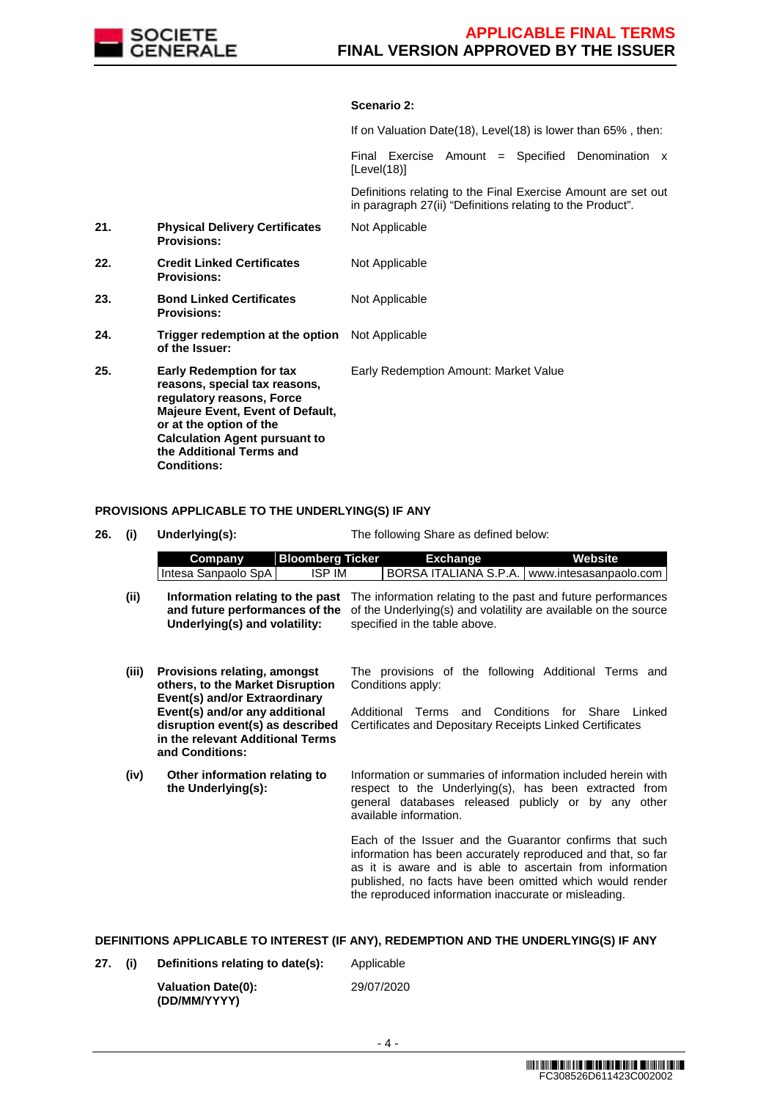

## **Scenario 2:**

If on Valuation Date(18), Level(18) is lower than 65% , then:

Final Exercise Amount = Specified Denomination x [Level(18)]

 Definitions relating to the Final Exercise Amount are set out in paragraph 27(ii) "Definitions relating to the Product".

| 21. | <b>Physical Delivery Certificates</b><br><b>Provisions:</b>                                                                                                                                                                                                   | Not Applicable                        |
|-----|---------------------------------------------------------------------------------------------------------------------------------------------------------------------------------------------------------------------------------------------------------------|---------------------------------------|
| 22. | <b>Credit Linked Certificates</b><br><b>Provisions:</b>                                                                                                                                                                                                       | Not Applicable                        |
| 23. | <b>Bond Linked Certificates</b><br><b>Provisions:</b>                                                                                                                                                                                                         | Not Applicable                        |
| 24. | <b>Trigger redemption at the option</b> Not Applicable<br>of the Issuer:                                                                                                                                                                                      |                                       |
| 25. | <b>Early Redemption for tax</b><br>reasons, special tax reasons,<br>regulatory reasons, Force<br><b>Majeure Event, Event of Default,</b><br>or at the option of the<br><b>Calculation Agent pursuant to</b><br>the Additional Terms and<br><b>Conditions:</b> | Early Redemption Amount: Market Value |

# **PROVISIONS APPLICABLE TO THE UNDERLYING(S) IF ANY**

| 26. | (i)   | Underlying(s):                                                                                                                                                                                                                 | The following Share as defined below:                                                                                                                                                                                                                                                                  |
|-----|-------|--------------------------------------------------------------------------------------------------------------------------------------------------------------------------------------------------------------------------------|--------------------------------------------------------------------------------------------------------------------------------------------------------------------------------------------------------------------------------------------------------------------------------------------------------|
|     |       | <b>Bloomberg Ticker</b><br>Company<br><b>ISP IM</b><br>Intesa Sanpaolo SpA                                                                                                                                                     | <b>Exchange</b><br><b>Website</b><br>BORSA ITALIANA S.P.A.   www.intesasanpaolo.com                                                                                                                                                                                                                    |
|     | (ii)  | Information relating to the past<br>and future performances of the<br>Underlying(s) and volatility:                                                                                                                            | The information relating to the past and future performances<br>of the Underlying(s) and volatility are available on the source<br>specified in the table above.                                                                                                                                       |
|     | (iii) | Provisions relating, amongst<br>others, to the Market Disruption<br>Event(s) and/or Extraordinary<br>Event(s) and/or any additional<br>disruption event(s) as described<br>in the relevant Additional Terms<br>and Conditions: | The provisions of the following Additional Terms and<br>Conditions apply:<br>Conditions<br>Additional<br>for Share<br>Linked<br>Terms<br>and<br>Certificates and Depositary Receipts Linked Certificates                                                                                               |
|     | (iv)  | Other information relating to<br>the Underlying(s):                                                                                                                                                                            | Information or summaries of information included herein with<br>respect to the Underlying(s), has been extracted from<br>general databases released publicly or by any other<br>available information.                                                                                                 |
|     |       |                                                                                                                                                                                                                                | Each of the Issuer and the Guarantor confirms that such<br>information has been accurately reproduced and that, so far<br>as it is aware and is able to ascertain from information<br>published, no facts have been omitted which would render<br>the reproduced information inaccurate or misleading. |

**DEFINITIONS APPLICABLE TO INTEREST (IF ANY), REDEMPTION AND THE UNDERLYING(S) IF ANY**

**27. (i) Definitions relating to date(s):** Applicable

| <b>Valuation Date(0):</b> |  |
|---------------------------|--|
| (DD/MM/YYYY)              |  |

29/07/2020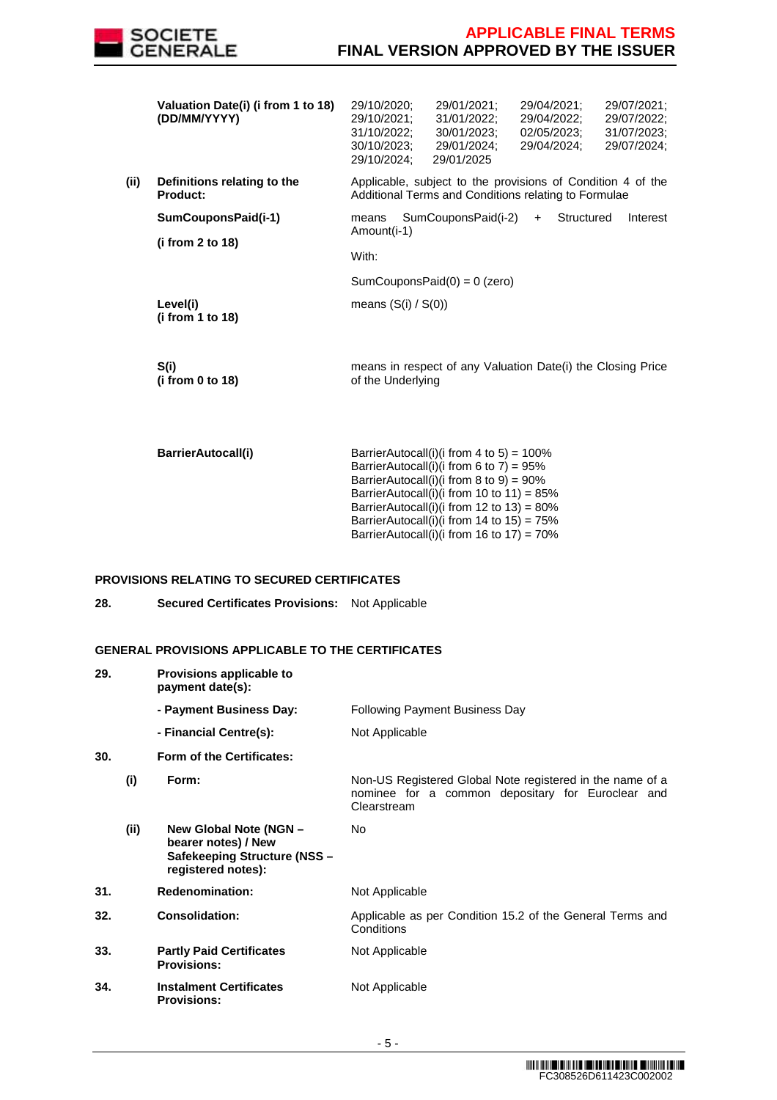

|      | Valuation Date(i) (i from 1 to 18)<br>(DD/MM/YYYY) | 29/10/2020;<br>29/10/2021;<br>31/10/2022:<br>30/10/2023;<br>29/10/2024; | 29/01/2021:<br>31/01/2022;<br>30/01/2023:<br>29/01/2024;<br>29/01/2025                                              | 29/04/2021:<br>29/04/2022:<br>02/05/2023:<br>29/04/2024; | 29/07/2021;<br>29/07/2022;<br>31/07/2023:<br>29/07/2024; |
|------|----------------------------------------------------|-------------------------------------------------------------------------|---------------------------------------------------------------------------------------------------------------------|----------------------------------------------------------|----------------------------------------------------------|
| (ii) | Definitions relating to the<br><b>Product:</b>     |                                                                         | Applicable, subject to the provisions of Condition 4 of the<br>Additional Terms and Conditions relating to Formulae |                                                          |                                                          |
|      | SumCouponsPaid(i-1)<br>(i from 2 to 18)            | means<br>Amount(i-1)<br>With:                                           | SumCouponsPaid(i-2)                                                                                                 | Structured<br>$+$                                        | Interest                                                 |
|      |                                                    |                                                                         | SumCouponsPaid $(0) = 0$ (zero)                                                                                     |                                                          |                                                          |
|      | Level(i)<br>(i from 1 to 18)                       | means $(S(i) / S(0))$                                                   |                                                                                                                     |                                                          |                                                          |
|      | S(i)                                               |                                                                         | means in respect of any Valuation Date(i) the Closing Price                                                         |                                                          |                                                          |

of the Underlying

**BarrierAutocall(i)** BarrierAutocall(i)(i from 4 to 5) = 100% BarrierAutocall(i)(i from 6 to 7) =  $95\%$ BarrierAutocall(i)(i from 8 to 9) =  $90\%$ BarrierAutocall(i)(i from 10 to 11) =  $85\%$ BarrierAutocall(i)(i from 12 to 13) = 80% BarrierAutocall(i)(i from 14 to 15) =  $75\%$ BarrierAutocall(i)(i from 16 to 17) =  $70\%$ 

## **PROVISIONS RELATING TO SECURED CERTIFICATES**

**(i from 0 to 18)** 

**28. Secured Certificates Provisions:** Not Applicable

# **GENERAL PROVISIONS APPLICABLE TO THE CERTIFICATES**

| 29. |      | Provisions applicable to<br>payment date(s):                                                        |                                                                                                                               |
|-----|------|-----------------------------------------------------------------------------------------------------|-------------------------------------------------------------------------------------------------------------------------------|
|     |      | - Payment Business Day:                                                                             | <b>Following Payment Business Day</b>                                                                                         |
|     |      | - Financial Centre(s):                                                                              | Not Applicable                                                                                                                |
| 30. |      | Form of the Certificates:                                                                           |                                                                                                                               |
|     | (i)  | Form:                                                                                               | Non-US Registered Global Note registered in the name of a<br>nominee for a common depositary for Euroclear and<br>Clearstream |
|     | (ii) | New Global Note (NGN -<br>bearer notes) / New<br>Safekeeping Structure (NSS -<br>registered notes): | No.                                                                                                                           |
| 31. |      | <b>Redenomination:</b>                                                                              | Not Applicable                                                                                                                |
| 32. |      | <b>Consolidation:</b>                                                                               | Applicable as per Condition 15.2 of the General Terms and<br>Conditions                                                       |
| 33. |      | <b>Partly Paid Certificates</b><br><b>Provisions:</b>                                               | Not Applicable                                                                                                                |
| 34. |      | <b>Instalment Certificates</b><br><b>Provisions:</b>                                                | Not Applicable                                                                                                                |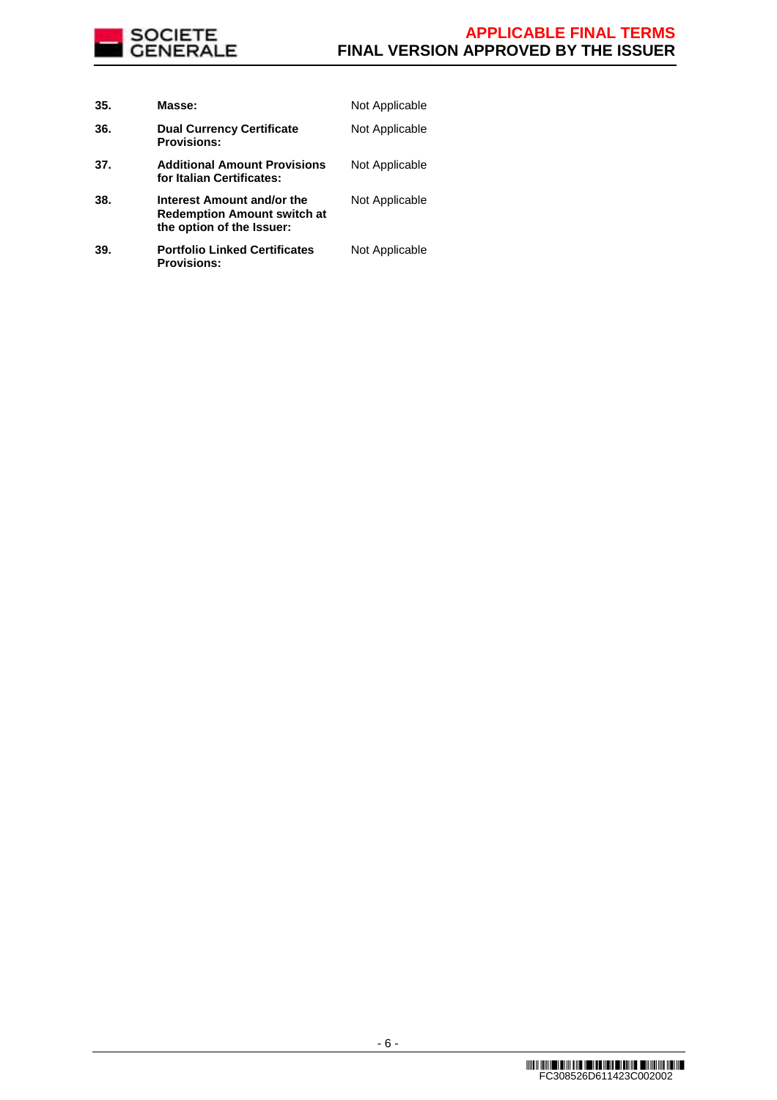

| 35. | Masse:                                                                                        | Not Applicable |
|-----|-----------------------------------------------------------------------------------------------|----------------|
| 36. | <b>Dual Currency Certificate</b><br><b>Provisions:</b>                                        | Not Applicable |
| 37. | <b>Additional Amount Provisions</b><br>for Italian Certificates:                              | Not Applicable |
| 38. | Interest Amount and/or the<br><b>Redemption Amount switch at</b><br>the option of the Issuer: | Not Applicable |
| 39. | <b>Portfolio Linked Certificates</b><br><b>Provisions:</b>                                    | Not Applicable |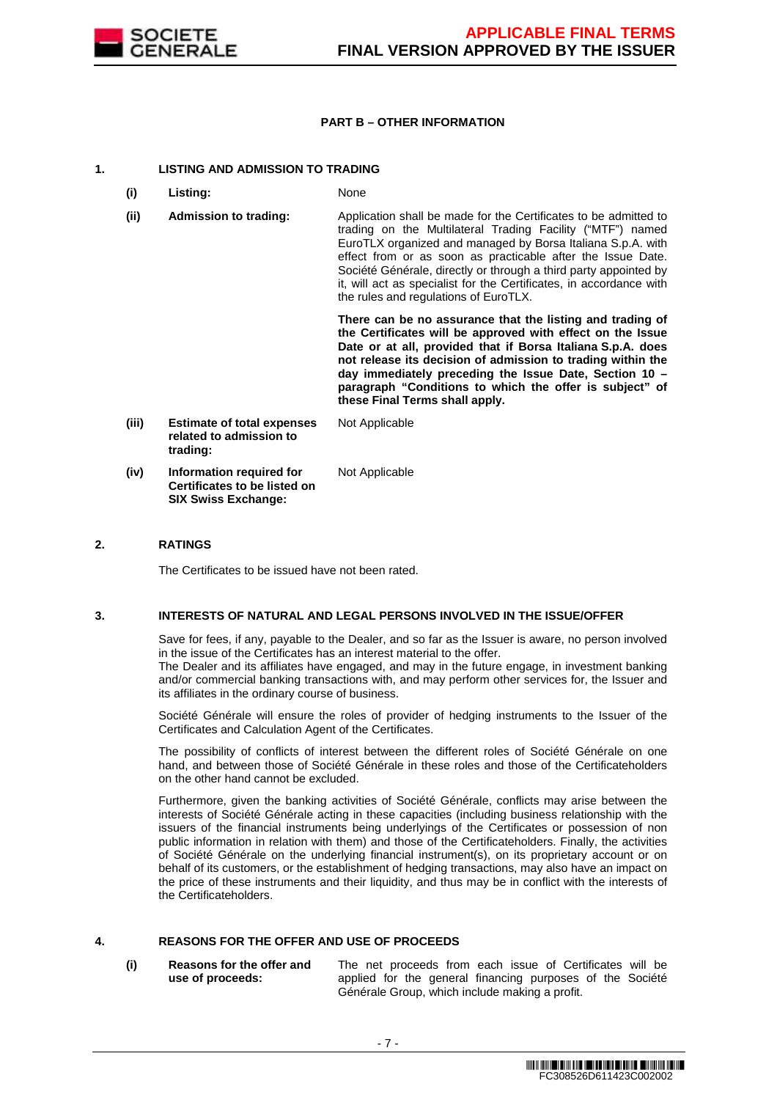

## **PART B – OTHER INFORMATION**

## **1. LISTING AND ADMISSION TO TRADING**

- **(i) Listing:** None
- **(ii) Admission to trading:** Application shall be made for the Certificates to be admitted to trading on the Multilateral Trading Facility ("MTF") named EuroTLX organized and managed by Borsa Italiana S.p.A. with effect from or as soon as practicable after the Issue Date. Société Générale, directly or through a third party appointed by it, will act as specialist for the Certificates, in accordance with the rules and regulations of EuroTLX.

 **There can be no assurance that the listing and trading of the Certificates will be approved with effect on the Issue Date or at all, provided that if Borsa Italiana S.p.A. does not release its decision of admission to trading within the day immediately preceding the Issue Date, Section 10 – paragraph "Conditions to which the offer is subject" of these Final Terms shall apply.**

**(iii) Estimate of total expenses related to admission to trading:** Not Applicable **(iv) Information required for Certificates to be listed on SIX Swiss Exchange:** Not Applicable

## **2. RATINGS**

The Certificates to be issued have not been rated.

## **3. INTERESTS OF NATURAL AND LEGAL PERSONS INVOLVED IN THE ISSUE/OFFER**

 Save for fees, if any, payable to the Dealer, and so far as the Issuer is aware, no person involved in the issue of the Certificates has an interest material to the offer.

The Dealer and its affiliates have engaged, and may in the future engage, in investment banking and/or commercial banking transactions with, and may perform other services for, the Issuer and its affiliates in the ordinary course of business.

 Société Générale will ensure the roles of provider of hedging instruments to the Issuer of the Certificates and Calculation Agent of the Certificates.

 The possibility of conflicts of interest between the different roles of Société Générale on one hand, and between those of Société Générale in these roles and those of the Certificateholders on the other hand cannot be excluded.

 Furthermore, given the banking activities of Société Générale, conflicts may arise between the interests of Société Générale acting in these capacities (including business relationship with the issuers of the financial instruments being underlyings of the Certificates or possession of non public information in relation with them) and those of the Certificateholders. Finally, the activities of Société Générale on the underlying financial instrument(s), on its proprietary account or on behalf of its customers, or the establishment of hedging transactions, may also have an impact on the price of these instruments and their liquidity, and thus may be in conflict with the interests of the Certificateholders.

# **4. REASONS FOR THE OFFER AND USE OF PROCEEDS**

**(i) Reasons for the offer and use of proceeds:**

The net proceeds from each issue of Certificates will be applied for the general financing purposes of the Société Générale Group, which include making a profit.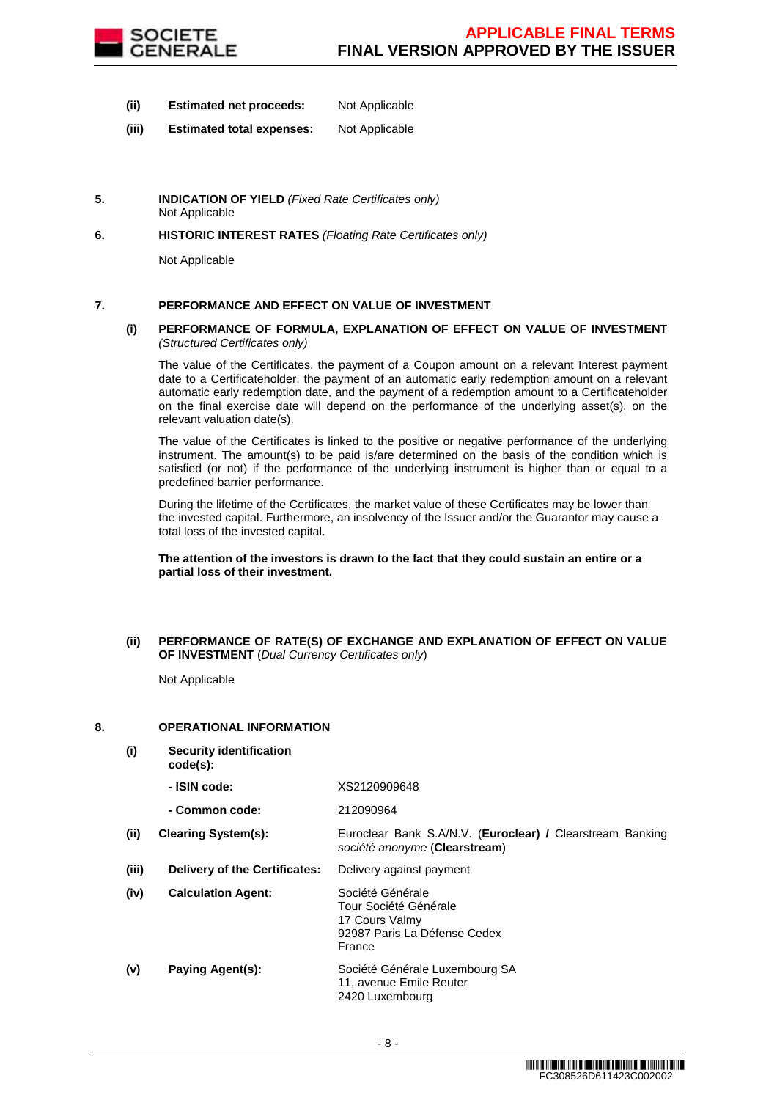

- **(ii) Estimated net proceeds:** Not Applicable
- **(iii) Estimated total expenses:** Not Applicable
- **5. INDICATION OF YIELD** (Fixed Rate Certificates only) Not Applicable
- **6. HISTORIC INTEREST RATES** (Floating Rate Certificates only)

Not Applicable

# **7. PERFORMANCE AND EFFECT ON VALUE OF INVESTMENT**

## **(i) PERFORMANCE OF FORMULA, EXPLANATION OF EFFECT ON VALUE OF INVESTMENT**  (Structured Certificates only)

 The value of the Certificates, the payment of a Coupon amount on a relevant Interest payment date to a Certificateholder, the payment of an automatic early redemption amount on a relevant automatic early redemption date, and the payment of a redemption amount to a Certificateholder on the final exercise date will depend on the performance of the underlying asset(s), on the relevant valuation date(s).

 The value of the Certificates is linked to the positive or negative performance of the underlying instrument. The amount(s) to be paid is/are determined on the basis of the condition which is satisfied (or not) if the performance of the underlying instrument is higher than or equal to a predefined barrier performance.

 During the lifetime of the Certificates, the market value of these Certificates may be lower than the invested capital. Furthermore, an insolvency of the Issuer and/or the Guarantor may cause a total loss of the invested capital.

## **The attention of the investors is drawn to the fact that they could sustain an entire or a partial loss of their investment.**

## **(ii) PERFORMANCE OF RATE(S) OF EXCHANGE AND EXPLANATION OF EFFECT ON VALUE OF INVESTMENT** (Dual Currency Certificates only)

Not Applicable

# **8. OPERATIONAL INFORMATION**

**(i) Security identification code(s): - ISIN code:** XS2120909648 **- Common code:** 212090964 **(ii) Clearing System(s):** Euroclear Bank S.A/N.V. (**Euroclear) /** Clearstream Banking société anonyme (**Clearstream**) **(iii) Delivery of the Certificates:** Delivery against payment **(iv) Calculation Agent:** Société Générale Tour Société Générale 17 Cours Valmy 92987 Paris La Défense Cedex France **(v) Paying Agent(s):** Société Générale Luxembourg SA 11, avenue Emile Reuter 2420 Luxembourg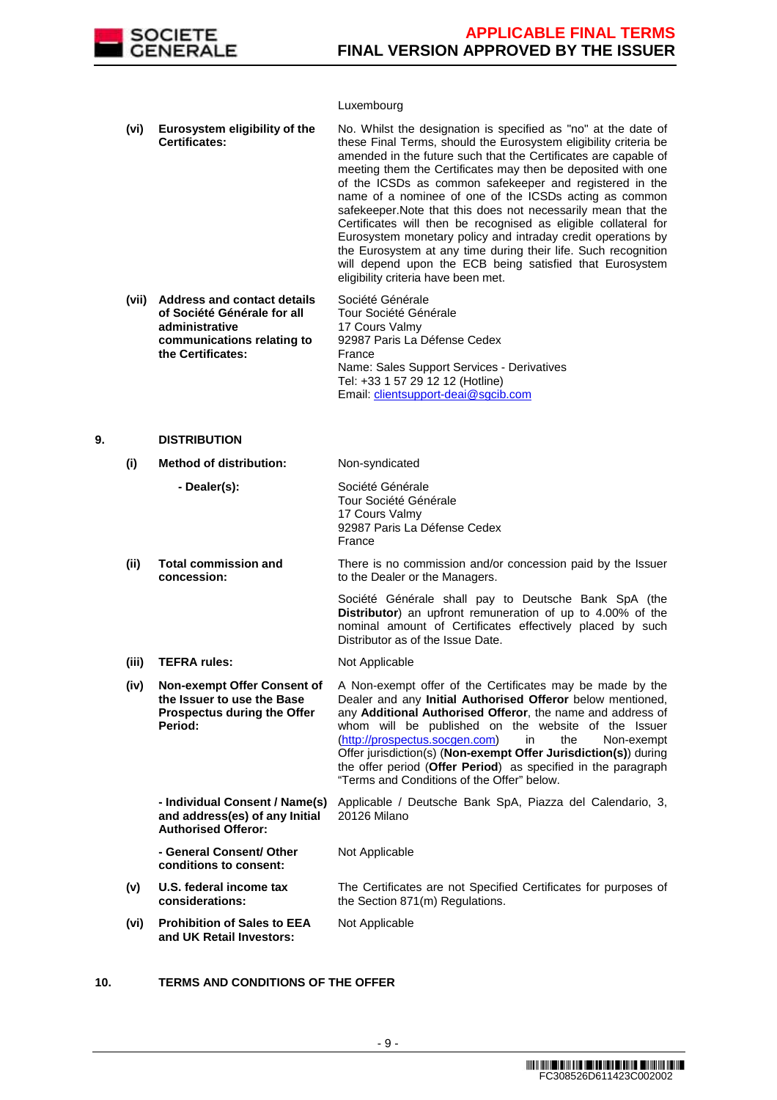

## Luxembourg

| (vi)  | Eurosystem eligibility of the<br><b>Certificates:</b>                                                                                  | No. Whilst the designation is specified as "no" at the date of<br>these Final Terms, should the Eurosystem eligibility criteria be<br>amended in the future such that the Certificates are capable of<br>meeting them the Certificates may then be deposited with one<br>of the ICSDs as common safekeeper and registered in the<br>name of a nominee of one of the ICSDs acting as common<br>safekeeper. Note that this does not necessarily mean that the<br>Certificates will then be recognised as eligible collateral for<br>Eurosystem monetary policy and intraday credit operations by<br>the Eurosystem at any time during their life. Such recognition<br>will depend upon the ECB being satisfied that Eurosystem<br>eligibility criteria have been met. |
|-------|----------------------------------------------------------------------------------------------------------------------------------------|---------------------------------------------------------------------------------------------------------------------------------------------------------------------------------------------------------------------------------------------------------------------------------------------------------------------------------------------------------------------------------------------------------------------------------------------------------------------------------------------------------------------------------------------------------------------------------------------------------------------------------------------------------------------------------------------------------------------------------------------------------------------|
| (vii) | <b>Address and contact details</b><br>of Société Générale for all<br>administrative<br>communications relating to<br>the Certificates: | Société Générale<br>Tour Société Générale<br>17 Cours Valmy<br>92987 Paris La Défense Cedex<br>France<br>Name: Sales Support Services - Derivatives<br>Tel: +33 1 57 29 12 12 (Hotline)                                                                                                                                                                                                                                                                                                                                                                                                                                                                                                                                                                             |

Email: clientsupport-deai@sgcib.com

## **9. DISTRIBUTION**

# **(i) Method of distribution:** Non-syndicated

|       | - Dealer(s):                                                                                               | Société Générale<br>Tour Société Générale<br>17 Cours Valmy<br>92987 Paris La Défense Cedex<br>France                                                                                                                                                                                                                                                                                                                                                                                       |
|-------|------------------------------------------------------------------------------------------------------------|---------------------------------------------------------------------------------------------------------------------------------------------------------------------------------------------------------------------------------------------------------------------------------------------------------------------------------------------------------------------------------------------------------------------------------------------------------------------------------------------|
| (ii)  | <b>Total commission and</b><br>concession:                                                                 | There is no commission and/or concession paid by the Issuer<br>to the Dealer or the Managers.                                                                                                                                                                                                                                                                                                                                                                                               |
|       |                                                                                                            | Société Générale shall pay to Deutsche Bank SpA (the<br><b>Distributor</b> ) an upfront remuneration of up to 4.00% of the<br>nominal amount of Certificates effectively placed by such<br>Distributor as of the Issue Date.                                                                                                                                                                                                                                                                |
| (iii) | <b>TEFRA rules:</b>                                                                                        | Not Applicable                                                                                                                                                                                                                                                                                                                                                                                                                                                                              |
| (iv)  | Non-exempt Offer Consent of<br>the Issuer to use the Base<br><b>Prospectus during the Offer</b><br>Period: | A Non-exempt offer of the Certificates may be made by the<br>Dealer and any Initial Authorised Offeror below mentioned,<br>any Additional Authorised Offeror, the name and address of<br>whom will be published on the website of the Issuer<br>(http://prospectus.socgen.com)<br>the<br>in<br>Non-exempt<br>Offer jurisdiction(s) (Non-exempt Offer Jurisdiction(s)) during<br>the offer period (Offer Period) as specified in the paragraph<br>"Terms and Conditions of the Offer" below. |
|       | - Individual Consent / Name(s)<br>and address(es) of any Initial<br><b>Authorised Offeror:</b>             | Applicable / Deutsche Bank SpA, Piazza del Calendario, 3,<br>20126 Milano                                                                                                                                                                                                                                                                                                                                                                                                                   |
|       | - General Consent/ Other<br>conditions to consent:                                                         | Not Applicable                                                                                                                                                                                                                                                                                                                                                                                                                                                                              |
| (v)   | U.S. federal income tax<br>considerations:                                                                 | The Certificates are not Specified Certificates for purposes of<br>the Section 871(m) Regulations.                                                                                                                                                                                                                                                                                                                                                                                          |
| (vi)  | <b>Prohibition of Sales to EEA</b><br>and UK Retail Investors:                                             | Not Applicable                                                                                                                                                                                                                                                                                                                                                                                                                                                                              |

# **10. TERMS AND CONDITIONS OF THE OFFER**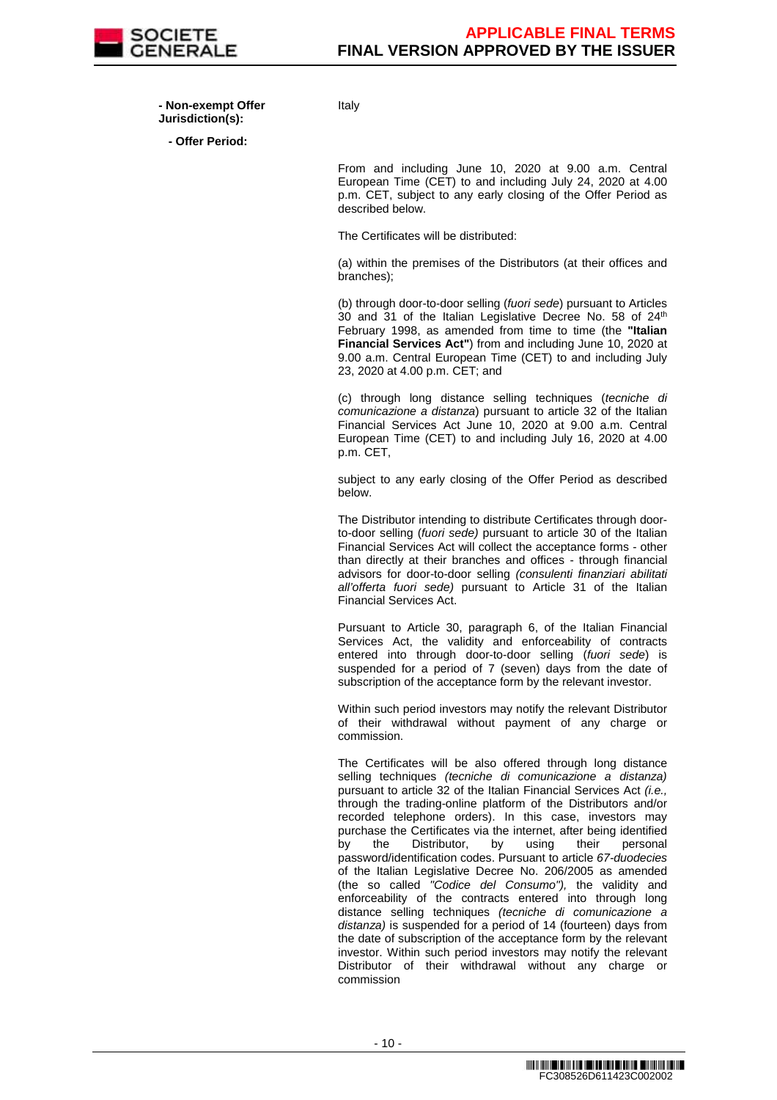

 **- Non-exempt Offer Jurisdiction(s):**

**- Offer Period:**

Italy

From and including June 10, 2020 at 9.00 a.m. Central European Time (CET) to and including July 24, 2020 at 4.00 p.m. CET, subject to any early closing of the Offer Period as described below.

The Certificates will be distributed:

(a) within the premises of the Distributors (at their offices and branches);

(b) through door-to-door selling (fuori sede) pursuant to Articles 30 and 31 of the Italian Legislative Decree No. 58 of 24<sup>th</sup> February 1998, as amended from time to time (the **"Italian Financial Services Act"**) from and including June 10, 2020 at 9.00 a.m. Central European Time (CET) to and including July 23, 2020 at 4.00 p.m. CET; and

(c) through long distance selling techniques (tecniche di comunicazione a distanza) pursuant to article 32 of the Italian Financial Services Act June 10, 2020 at 9.00 a.m. Central European Time (CET) to and including July 16, 2020 at 4.00 p.m. CET,

subject to any early closing of the Offer Period as described below.

The Distributor intending to distribute Certificates through doorto-door selling (fuori sede) pursuant to article 30 of the Italian Financial Services Act will collect the acceptance forms - other than directly at their branches and offices - through financial advisors for door-to-door selling (consulenti finanziari abilitati all'offerta fuori sede) pursuant to Article 31 of the Italian Financial Services Act.

Pursuant to Article 30, paragraph 6, of the Italian Financial Services Act, the validity and enforceability of contracts entered into through door-to-door selling (fuori sede) is suspended for a period of 7 (seven) days from the date of subscription of the acceptance form by the relevant investor.

Within such period investors may notify the relevant Distributor of their withdrawal without payment of any charge or commission.

The Certificates will be also offered through long distance selling techniques (tecniche di comunicazione a distanza) pursuant to article 32 of the Italian Financial Services Act (i.e., through the trading-online platform of the Distributors and/or recorded telephone orders). In this case, investors may purchase the Certificates via the internet, after being identified<br>by the Distributor, by using their personal by the Distributor, by using their password/identification codes. Pursuant to article 67-duodecies of the Italian Legislative Decree No. 206/2005 as amended (the so called "Codice del Consumo"), the validity and enforceability of the contracts entered into through long distance selling techniques (tecniche di comunicazione a distanza) is suspended for a period of 14 (fourteen) days from the date of subscription of the acceptance form by the relevant investor. Within such period investors may notify the relevant Distributor of their withdrawal without any charge or commission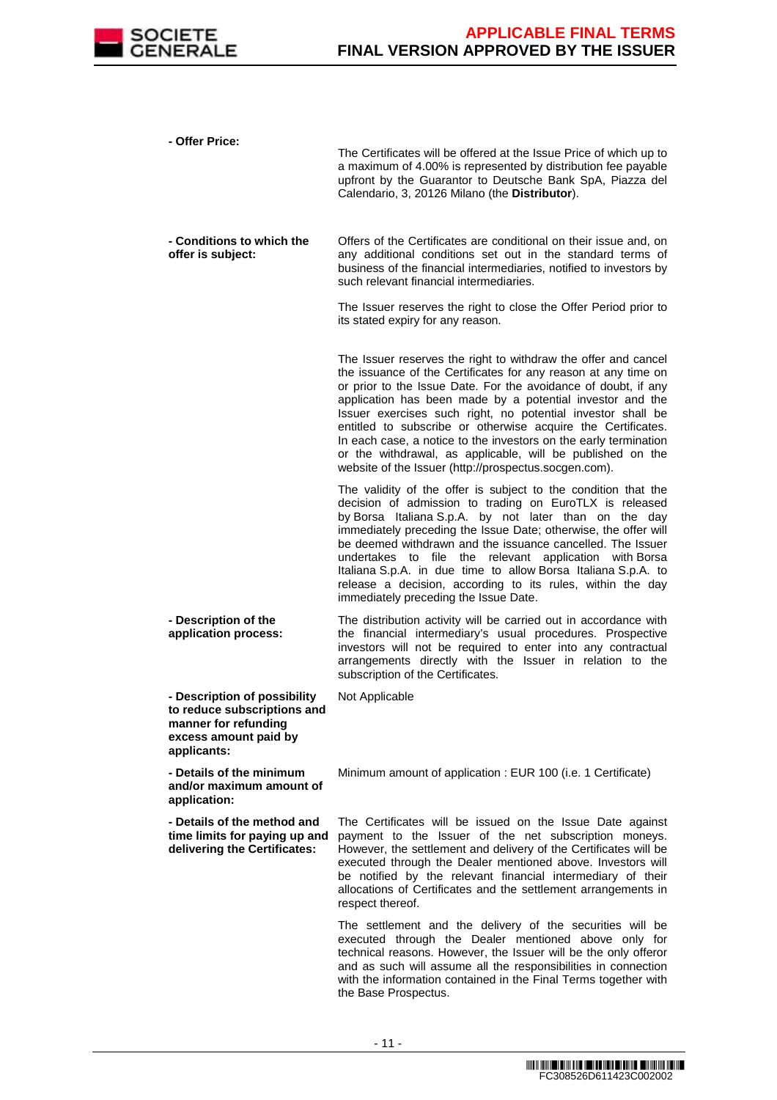

| - Offer Price:                                                                                                              | The Certificates will be offered at the Issue Price of which up to<br>a maximum of 4.00% is represented by distribution fee payable<br>upfront by the Guarantor to Deutsche Bank SpA, Piazza del<br>Calendario, 3, 20126 Milano (the Distributor).                                                                                                                                                                                                                                                                                                                                        |
|-----------------------------------------------------------------------------------------------------------------------------|-------------------------------------------------------------------------------------------------------------------------------------------------------------------------------------------------------------------------------------------------------------------------------------------------------------------------------------------------------------------------------------------------------------------------------------------------------------------------------------------------------------------------------------------------------------------------------------------|
| - Conditions to which the<br>offer is subject:                                                                              | Offers of the Certificates are conditional on their issue and, on<br>any additional conditions set out in the standard terms of<br>business of the financial intermediaries, notified to investors by<br>such relevant financial intermediaries.                                                                                                                                                                                                                                                                                                                                          |
|                                                                                                                             | The Issuer reserves the right to close the Offer Period prior to<br>its stated expiry for any reason.                                                                                                                                                                                                                                                                                                                                                                                                                                                                                     |
|                                                                                                                             | The Issuer reserves the right to withdraw the offer and cancel<br>the issuance of the Certificates for any reason at any time on<br>or prior to the Issue Date. For the avoidance of doubt, if any<br>application has been made by a potential investor and the<br>Issuer exercises such right, no potential investor shall be<br>entitled to subscribe or otherwise acquire the Certificates.<br>In each case, a notice to the investors on the early termination<br>or the withdrawal, as applicable, will be published on the<br>website of the Issuer (http://prospectus.socgen.com). |
|                                                                                                                             | The validity of the offer is subject to the condition that the<br>decision of admission to trading on EuroTLX is released<br>by Borsa Italiana S.p.A. by not later than on the day<br>immediately preceding the Issue Date; otherwise, the offer will<br>be deemed withdrawn and the issuance cancelled. The Issuer<br>undertakes to file the relevant application with Borsa<br>Italiana S.p.A. in due time to allow Borsa Italiana S.p.A. to<br>release a decision, according to its rules, within the day<br>immediately preceding the Issue Date.                                     |
| - Description of the<br>application process:                                                                                | The distribution activity will be carried out in accordance with<br>the financial intermediary's usual procedures. Prospective<br>investors will not be required to enter into any contractual<br>arrangements directly with the Issuer in relation to the<br>subscription of the Certificates.                                                                                                                                                                                                                                                                                           |
| - Description of possibility<br>to reduce subscriptions and<br>manner for refunding<br>excess amount paid by<br>applicants: | Not Applicable                                                                                                                                                                                                                                                                                                                                                                                                                                                                                                                                                                            |
| - Details of the minimum<br>and/or maximum amount of<br>application:                                                        | Minimum amount of application : EUR 100 (i.e. 1 Certificate)                                                                                                                                                                                                                                                                                                                                                                                                                                                                                                                              |
| - Details of the method and<br>time limits for paying up and<br>delivering the Certificates:                                | The Certificates will be issued on the Issue Date against<br>payment to the Issuer of the net subscription moneys.<br>However, the settlement and delivery of the Certificates will be<br>executed through the Dealer mentioned above. Investors will<br>be notified by the relevant financial intermediary of their<br>allocations of Certificates and the settlement arrangements in<br>respect thereof.                                                                                                                                                                                |
|                                                                                                                             | The settlement and the delivery of the securities will be<br>executed through the Dealer mentioned above only for<br>technical reasons. However, the Issuer will be the only offeror<br>and as such will assume all the responsibilities in connection                                                                                                                                                                                                                                                                                                                                    |

with the information contained in the Final Terms together with

the Base Prospectus.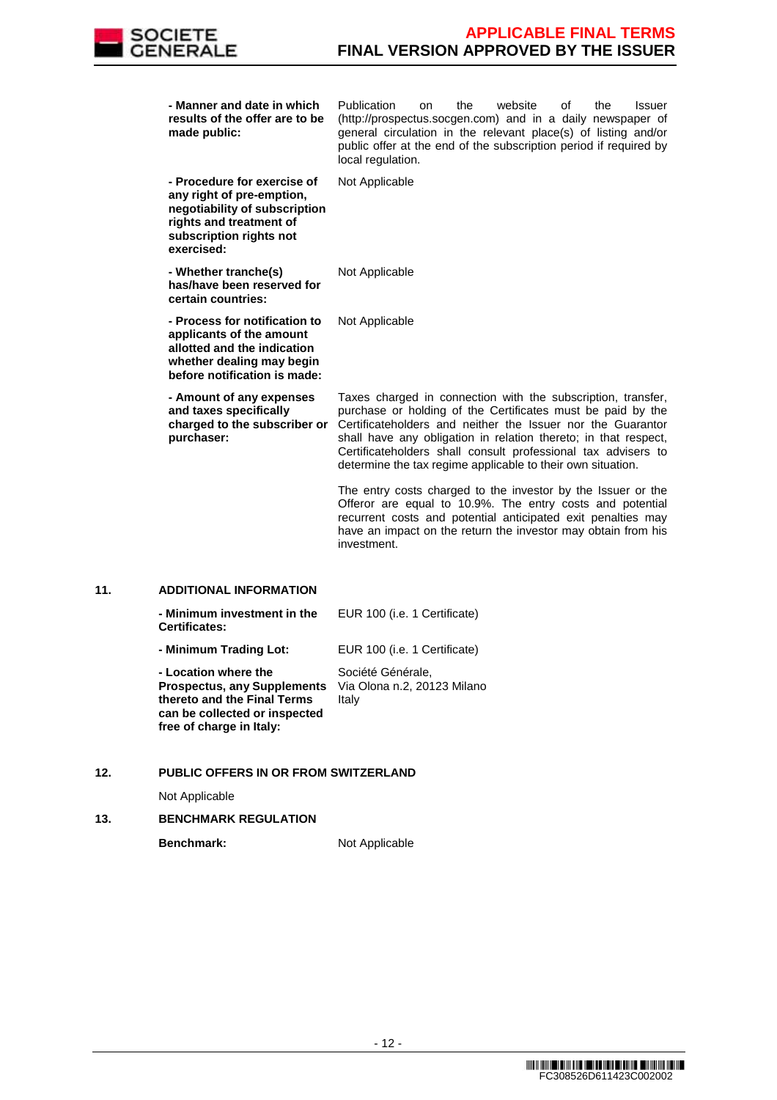

| - Manner and date in which<br>results of the offer are to be<br>made public:                                                                                  | Publication<br>the<br>website<br>οf<br>the<br><b>Issuer</b><br>on<br>(http://prospectus.socgen.com) and in a daily newspaper of<br>general circulation in the relevant place(s) of listing and/or<br>public offer at the end of the subscription period if required by<br>local regulation.                                                                                                   |
|---------------------------------------------------------------------------------------------------------------------------------------------------------------|-----------------------------------------------------------------------------------------------------------------------------------------------------------------------------------------------------------------------------------------------------------------------------------------------------------------------------------------------------------------------------------------------|
| - Procedure for exercise of<br>any right of pre-emption,<br>negotiability of subscription<br>rights and treatment of<br>subscription rights not<br>exercised: | Not Applicable                                                                                                                                                                                                                                                                                                                                                                                |
| - Whether tranche(s)<br>has/have been reserved for<br>certain countries:                                                                                      | Not Applicable                                                                                                                                                                                                                                                                                                                                                                                |
| - Process for notification to<br>applicants of the amount<br>allotted and the indication<br>whether dealing may begin<br>before notification is made:         | Not Applicable                                                                                                                                                                                                                                                                                                                                                                                |
| - Amount of any expenses<br>and taxes specifically<br>charged to the subscriber or<br>purchaser:                                                              | Taxes charged in connection with the subscription, transfer,<br>purchase or holding of the Certificates must be paid by the<br>Certificateholders and neither the Issuer nor the Guarantor<br>shall have any obligation in relation thereto; in that respect,<br>Certificateholders shall consult professional tax advisers to<br>determine the tax regime applicable to their own situation. |
|                                                                                                                                                               | The entry costs charged to the investor by the Issuer or the<br>Offeror are equal to 10.9%. The entry costs and potential<br>recurrent costs and potential anticipated exit penalties may<br>have an impact on the return the investor may obtain from his<br>investment.                                                                                                                     |

# **11. ADDITIONAL INFORMATION**

| - Minimum investment in the<br><b>Certificates:</b>                                                                                                    | EUR 100 (i.e. 1 Certificate)                              |
|--------------------------------------------------------------------------------------------------------------------------------------------------------|-----------------------------------------------------------|
| - Minimum Trading Lot:                                                                                                                                 | EUR 100 (i.e. 1 Certificate)                              |
| - Location where the<br><b>Prospectus, any Supplements</b><br>thereto and the Final Terms<br>can be collected or inspected<br>free of charge in Italy: | Société Générale,<br>Via Olona n.2, 20123 Milano<br>Italy |

# **12. PUBLIC OFFERS IN OR FROM SWITZERLAND**

Not Applicable

## **13. BENCHMARK REGULATION**

**Benchmark:** Not Applicable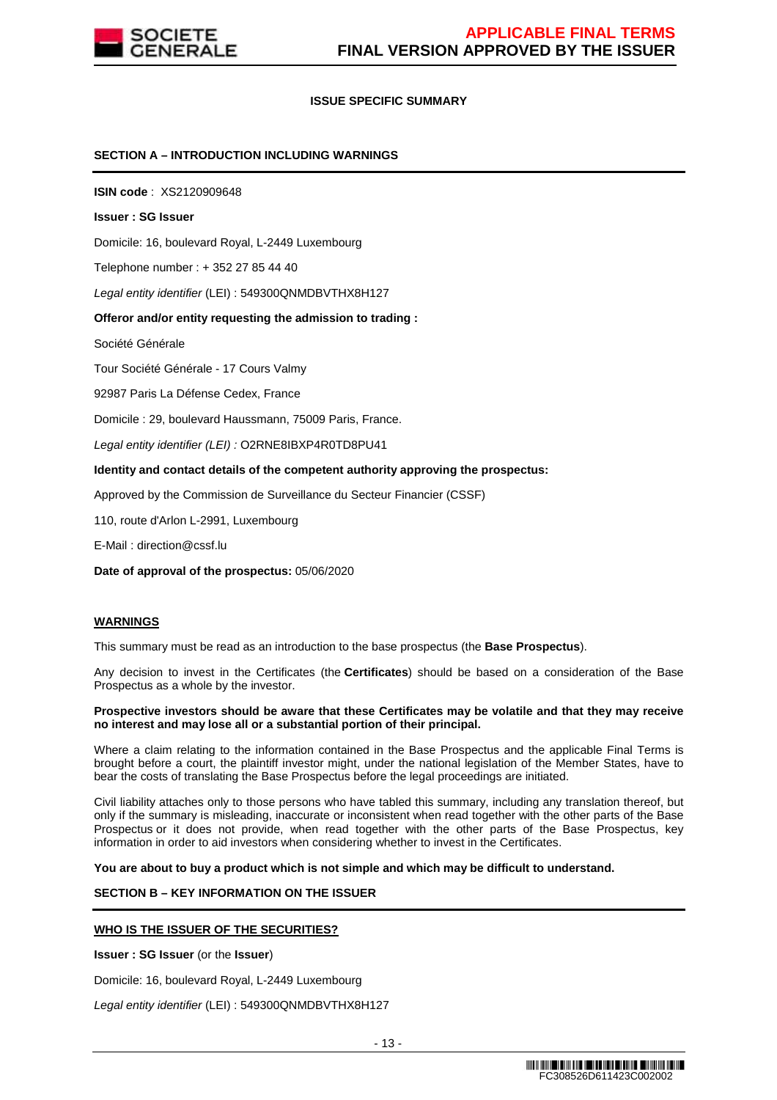

## **ISSUE SPECIFIC SUMMARY**

## **SECTION A – INTRODUCTION INCLUDING WARNINGS**

**ISIN code** : XS2120909648

#### **Issuer : SG Issuer**

Domicile: 16, boulevard Royal, L-2449 Luxembourg

Telephone number : + 352 27 85 44 40

Legal entity identifier (LEI) : 549300QNMDBVTHX8H127

#### **Offeror and/or entity requesting the admission to trading :**

Société Générale

Tour Société Générale - 17 Cours Valmy

92987 Paris La Défense Cedex, France

Domicile : 29, boulevard Haussmann, 75009 Paris, France.

Legal entity identifier (LEI) : O2RNE8IBXP4R0TD8PU41

#### **Identity and contact details of the competent authority approving the prospectus:**

Approved by the Commission de Surveillance du Secteur Financier (CSSF)

110, route d'Arlon L-2991, Luxembourg

E-Mail : direction@cssf.lu

**Date of approval of the prospectus:** 05/06/2020

## **WARNINGS**

This summary must be read as an introduction to the base prospectus (the **Base Prospectus**).

Any decision to invest in the Certificates (the **Certificates**) should be based on a consideration of the Base Prospectus as a whole by the investor.

#### **Prospective investors should be aware that these Certificates may be volatile and that they may receive no interest and may lose all or a substantial portion of their principal.**

Where a claim relating to the information contained in the Base Prospectus and the applicable Final Terms is brought before a court, the plaintiff investor might, under the national legislation of the Member States, have to bear the costs of translating the Base Prospectus before the legal proceedings are initiated.

Civil liability attaches only to those persons who have tabled this summary, including any translation thereof, but only if the summary is misleading, inaccurate or inconsistent when read together with the other parts of the Base Prospectus or it does not provide, when read together with the other parts of the Base Prospectus, key information in order to aid investors when considering whether to invest in the Certificates.

**You are about to buy a product which is not simple and which may be difficult to understand.**

## **SECTION B – KEY INFORMATION ON THE ISSUER**

## **WHO IS THE ISSUER OF THE SECURITIES?**

**Issuer : SG Issuer** (or the **Issuer**)

Domicile: 16, boulevard Royal, L-2449 Luxembourg

Legal entity identifier (LEI) : 549300QNMDBVTHX8H127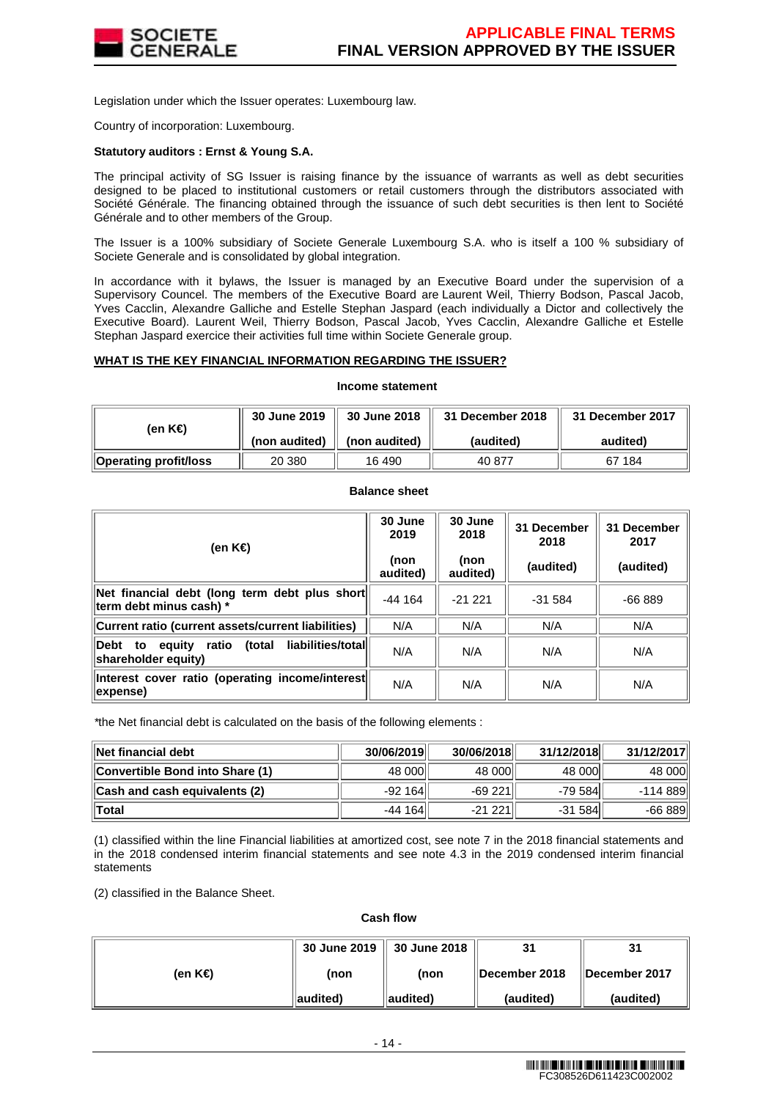

Legislation under which the Issuer operates: Luxembourg law.

Country of incorporation: Luxembourg.

## **Statutory auditors : Ernst & Young S.A.**

The principal activity of SG Issuer is raising finance by the issuance of warrants as well as debt securities designed to be placed to institutional customers or retail customers through the distributors associated with Société Générale. The financing obtained through the issuance of such debt securities is then lent to Société Générale and to other members of the Group.

The Issuer is a 100% subsidiary of Societe Generale Luxembourg S.A. who is itself a 100 % subsidiary of Societe Generale and is consolidated by global integration.

In accordance with it bylaws, the Issuer is managed by an Executive Board under the supervision of a Supervisory Councel. The members of the Executive Board are Laurent Weil, Thierry Bodson, Pascal Jacob, Yves Cacclin, Alexandre Galliche and Estelle Stephan Jaspard (each individually a Dictor and collectively the Executive Board). Laurent Weil, Thierry Bodson, Pascal Jacob, Yves Cacclin, Alexandre Galliche et Estelle Stephan Jaspard exercice their activities full time within Societe Generale group.

## **WHAT IS THE KEY FINANCIAL INFORMATION REGARDING THE ISSUER?**

#### **Income statement**

| (en K€)               | 30 June 2019  | 30 June 2018  | 31 December 2018 | 31 December 2017 |
|-----------------------|---------------|---------------|------------------|------------------|
|                       | (non audited) | (non audited) | (audited)        | audited)         |
| Operating profit/loss | 20 380        | 16 490        | 40 877           | 67 184           |

## **Balance sheet**

| (en K€)                                                                          | 30 June<br>2019<br>(non<br>audited) | 30 June<br>2018<br>(non<br>audited) | 31 December<br>2018<br>(audited) | 31 December<br>2017<br>(audited) |  |
|----------------------------------------------------------------------------------|-------------------------------------|-------------------------------------|----------------------------------|----------------------------------|--|
| Net financial debt (long term debt plus short<br>term debt minus cash) *         | $-44164$                            | $-21, 221$                          | $-31.584$                        | $-66889$                         |  |
| Current ratio (current assets/current liabilities)                               | N/A                                 | N/A                                 | N/A                              | N/A                              |  |
| liabilities/total<br>Debt to<br>(total<br>equity<br>ratio<br>shareholder equity) | N/A                                 | N/A                                 | N/A                              | N/A                              |  |
| Interest cover ratio (operating income/interest<br>expense)                      | N/A                                 | N/A                                 | N/A                              | N/A                              |  |

\*the Net financial debt is calculated on the basis of the following elements :

| ∥Net financial debt             | 30/06/2019 | 30/06/2018 | 31/12/2018 | 31/12/2017 |
|---------------------------------|------------|------------|------------|------------|
| Convertible Bond into Share (1) | 48 000     | 48 000     | 48 000     | 48 000     |
| Cash and cash equivalents (2)   | $-92164$   | $-69221$   | -79 584    | -114 889   |
| $\ $ Total                      | $-44164$   | $-21221$   | $-31584$   | $-66889$   |

(1) classified within the line Financial liabilities at amortized cost, see note 7 in the 2018 financial statements and in the 2018 condensed interim financial statements and see note 4.3 in the 2019 condensed interim financial statements

(2) classified in the Balance Sheet.

**Cash flow**

|         | 30 June 2019   30 June 2018 |                   | 31                    | 31            |
|---------|-----------------------------|-------------------|-----------------------|---------------|
| (en K€) | (non                        | (non              | <b>IDecember 2018</b> | December 2017 |
|         | audited)                    | <b>∥audited</b> ) | (audited)             | (audited)     |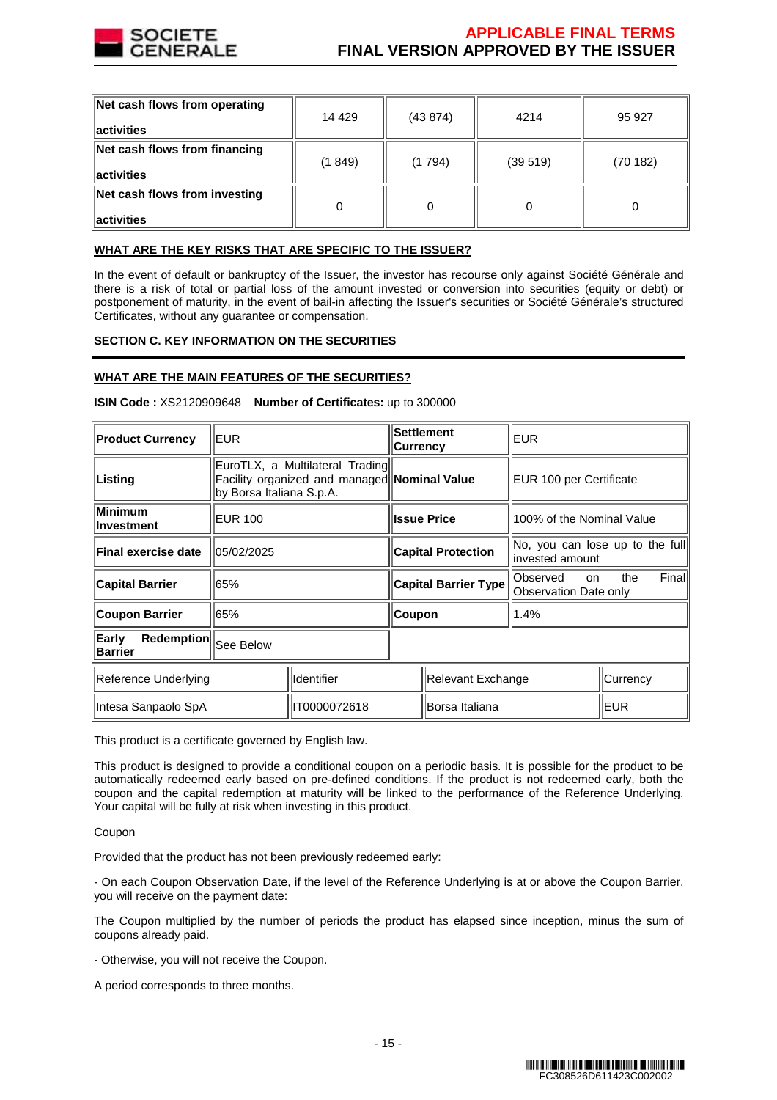

| Net cash flows from operating<br>$\parallel$ activities | 14 4 29 | (43874) | 4214    | 95 927  |
|---------------------------------------------------------|---------|---------|---------|---------|
| Net cash flows from financing<br>$\parallel$ activities | (1849)  | (1794)  | (39519) | (70182) |
| Net cash flows from investing<br>$\parallel$ activities |         | 0       |         |         |

# **WHAT ARE THE KEY RISKS THAT ARE SPECIFIC TO THE ISSUER?**

In the event of default or bankruptcy of the Issuer, the investor has recourse only against Société Générale and there is a risk of total or partial loss of the amount invested or conversion into securities (equity or debt) or postponement of maturity, in the event of bail-in affecting the Issuer's securities or Société Générale's structured Certificates, without any guarantee or compensation.

# **SECTION C. KEY INFORMATION ON THE SECURITIES**

## **WHAT ARE THE MAIN FEATURES OF THE SECURITIES?**

| <b>Product Currency</b>                   | EUR.                                                                                                        |                   | <b>Currency</b>             | <b>Settlement</b> | EUR                                                 |              |
|-------------------------------------------|-------------------------------------------------------------------------------------------------------------|-------------------|-----------------------------|-------------------|-----------------------------------------------------|--------------|
| Listing                                   | EuroTLX, a Multilateral Trading<br>Facility organized and managed Nominal Value<br>by Borsa Italiana S.p.A. |                   |                             |                   | EUR 100 per Certificate                             |              |
| Minimum<br>Investment                     | <b>EUR 100</b>                                                                                              |                   | <b>Issue Price</b>          |                   | 100% of the Nominal Value                           |              |
| Final exercise date                       | 05/02/2025                                                                                                  |                   | <b>Capital Protection</b>   |                   | No, you can lose up to the full<br>linvested amount |              |
| <b>Capital Barrier</b>                    | 65%                                                                                                         |                   | <b>Capital Barrier Type</b> |                   | Observed<br><b>on</b><br>Observation Date only      | Final<br>the |
| <b>Coupon Barrier</b>                     | 65%                                                                                                         |                   | Coupon                      |                   | 1.4%                                                |              |
| Redemption<br>Early<br><b>Barrier</b>     | See Below                                                                                                   |                   |                             |                   |                                                     |              |
| <b>Identifier</b><br>Reference Underlying |                                                                                                             | Relevant Exchange |                             |                   | Currency                                            |              |
| Intesa Sanpaolo SpA                       |                                                                                                             | IT0000072618      | Borsa Italiana              |                   |                                                     | EUR          |

**ISIN Code :** XS2120909648 **Number of Certificates:** up to 300000

This product is a certificate governed by English law.

This product is designed to provide a conditional coupon on a periodic basis. It is possible for the product to be automatically redeemed early based on pre-defined conditions. If the product is not redeemed early, both the coupon and the capital redemption at maturity will be linked to the performance of the Reference Underlying. Your capital will be fully at risk when investing in this product.

Coupon

Provided that the product has not been previously redeemed early:

- On each Coupon Observation Date, if the level of the Reference Underlying is at or above the Coupon Barrier, you will receive on the payment date:

The Coupon multiplied by the number of periods the product has elapsed since inception, minus the sum of coupons already paid.

- Otherwise, you will not receive the Coupon.

A period corresponds to three months.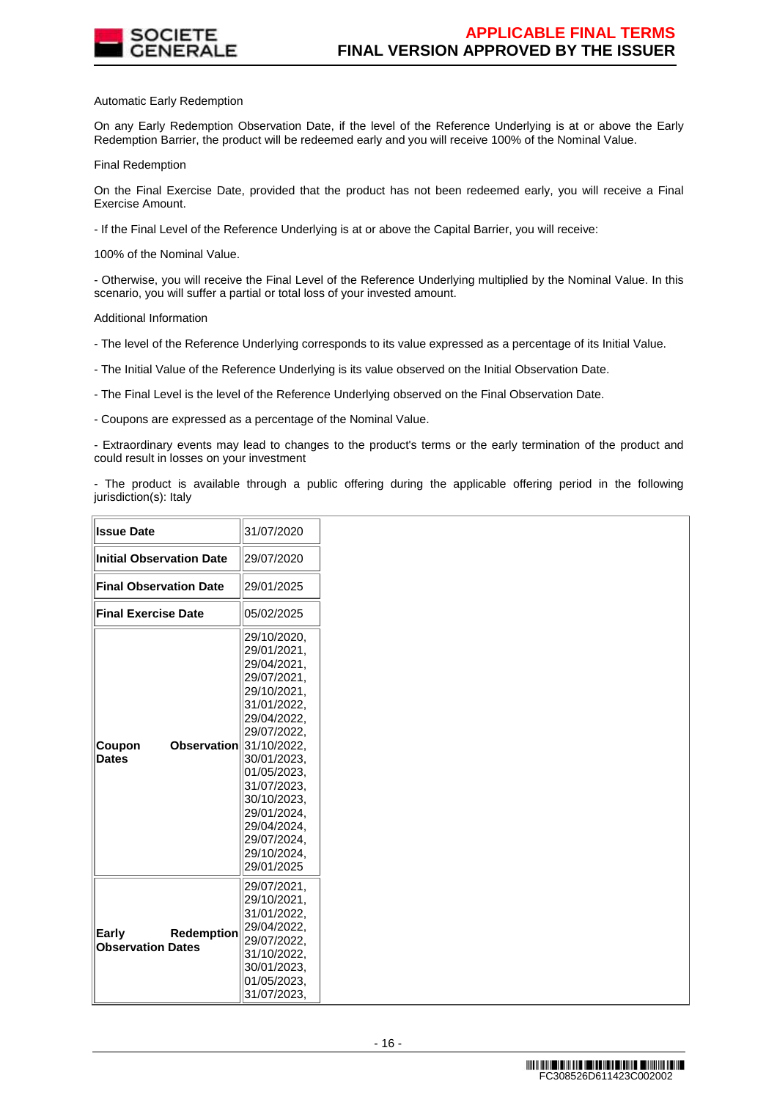

## Automatic Early Redemption

On any Early Redemption Observation Date, if the level of the Reference Underlying is at or above the Early Redemption Barrier, the product will be redeemed early and you will receive 100% of the Nominal Value.

Final Redemption

On the Final Exercise Date, provided that the product has not been redeemed early, you will receive a Final Exercise Amount.

- If the Final Level of the Reference Underlying is at or above the Capital Barrier, you will receive:

100% of the Nominal Value.

- Otherwise, you will receive the Final Level of the Reference Underlying multiplied by the Nominal Value. In this scenario, you will suffer a partial or total loss of your invested amount.

Additional Information

- The level of the Reference Underlying corresponds to its value expressed as a percentage of its Initial Value.

- The Initial Value of the Reference Underlying is its value observed on the Initial Observation Date.

- The Final Level is the level of the Reference Underlying observed on the Final Observation Date.

- Coupons are expressed as a percentage of the Nominal Value.

- Extraordinary events may lead to changes to the product's terms or the early termination of the product and could result in losses on your investment

- The product is available through a public offering during the applicable offering period in the following jurisdiction(s): Italy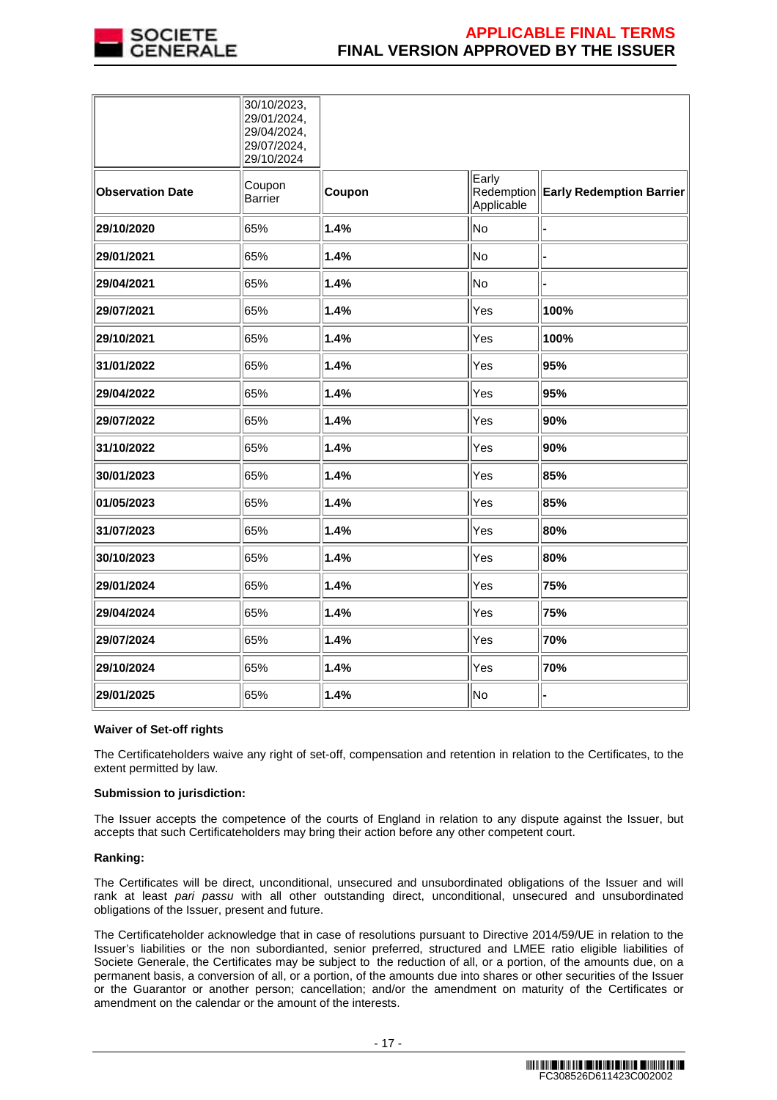

|                         | 30/10/2023,<br>29/01/2024,<br>29/04/2024,<br>29/07/2024,<br>29/10/2024 |        |                     |                                     |
|-------------------------|------------------------------------------------------------------------|--------|---------------------|-------------------------------------|
| <b>Observation Date</b> | Coupon<br><b>Barrier</b>                                               | Coupon | Early<br>Applicable | Redemption Early Redemption Barrier |
| 29/10/2020              | 65%                                                                    | 1.4%   | No                  | ı.                                  |
| 29/01/2021              | 65%                                                                    | 1.4%   | No                  |                                     |
| 29/04/2021              | 65%                                                                    | 1.4%   | No                  |                                     |
| 29/07/2021              | 65%                                                                    | 1.4%   | Yes                 | 100%                                |
| 29/10/2021              | 65%                                                                    | 1.4%   | Yes                 | 100%                                |
| 31/01/2022              | 65%                                                                    | 1.4%   | Yes                 | 95%                                 |
| 29/04/2022              | 65%                                                                    | 1.4%   | Yes                 | 95%                                 |
| 29/07/2022              | 65%                                                                    | 1.4%   | Yes                 | 90%                                 |
| 31/10/2022              | 65%                                                                    | 1.4%   | Yes                 | 90%                                 |
| 30/01/2023              | 65%                                                                    | 1.4%   | Yes                 | 85%                                 |
| 01/05/2023              | 65%                                                                    | 1.4%   | Yes                 | 85%                                 |
| 31/07/2023              | 65%                                                                    | 1.4%   | Yes                 | 80%                                 |
| 30/10/2023              | 65%                                                                    | 1.4%   | Yes                 | 80%                                 |
| 29/01/2024              | 65%                                                                    | 1.4%   | Yes                 | 75%                                 |
| 29/04/2024              | 65%                                                                    | 1.4%   | Yes                 | 75%                                 |
| 29/07/2024              | 65%                                                                    | 1.4%   | Yes                 | 70%                                 |
| 29/10/2024              | 65%                                                                    | 1.4%   | Yes                 | 70%                                 |
| 29/01/2025              | 65%                                                                    | 1.4%   | No                  | l-                                  |

## **Waiver of Set-off rights**

The Certificateholders waive any right of set-off, compensation and retention in relation to the Certificates, to the extent permitted by law.

## **Submission to jurisdiction:**

The Issuer accepts the competence of the courts of England in relation to any dispute against the Issuer, but accepts that such Certificateholders may bring their action before any other competent court.

## **Ranking:**

The Certificates will be direct, unconditional, unsecured and unsubordinated obligations of the Issuer and will rank at least pari passu with all other outstanding direct, unconditional, unsecured and unsubordinated obligations of the Issuer, present and future.

The Certificateholder acknowledge that in case of resolutions pursuant to Directive 2014/59/UE in relation to the Issuer's liabilities or the non subordianted, senior preferred, structured and LMEE ratio eligible liabilities of Societe Generale, the Certificates may be subject to the reduction of all, or a portion, of the amounts due, on a permanent basis, a conversion of all, or a portion, of the amounts due into shares or other securities of the Issuer or the Guarantor or another person; cancellation; and/or the amendment on maturity of the Certificates or amendment on the calendar or the amount of the interests.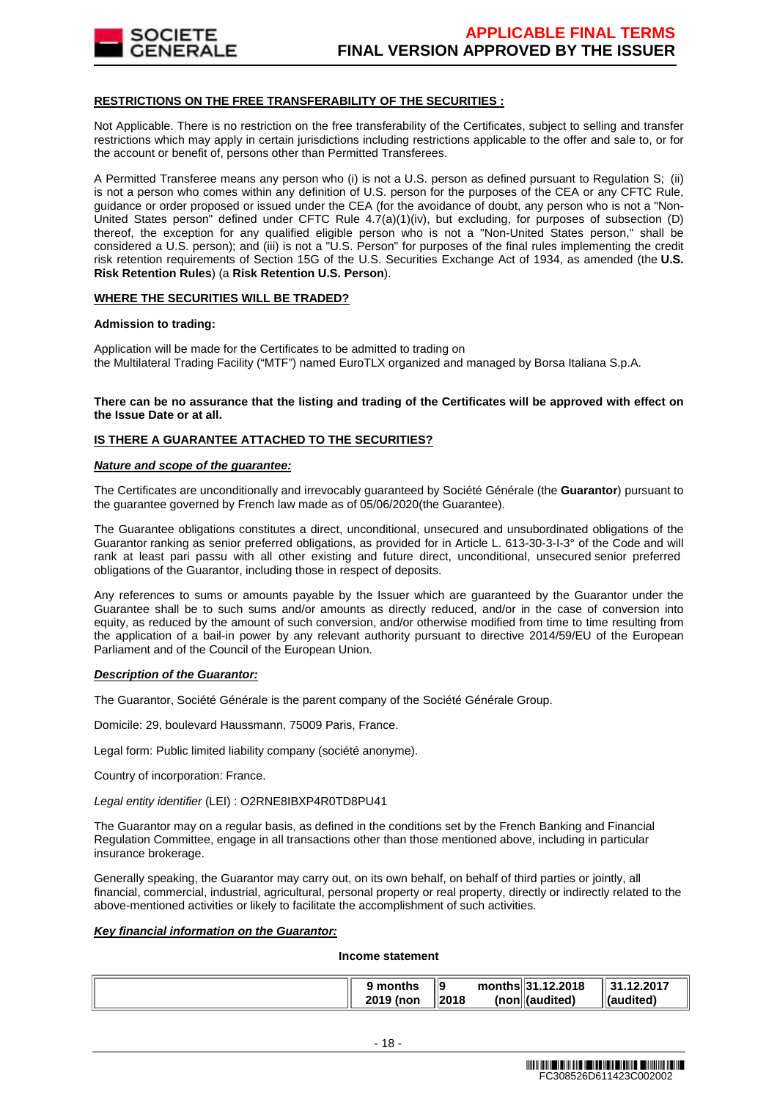

## **RESTRICTIONS ON THE FREE TRANSFERABILITY OF THE SECURITIES :**

Not Applicable. There is no restriction on the free transferability of the Certificates, subject to selling and transfer restrictions which may apply in certain jurisdictions including restrictions applicable to the offer and sale to, or for the account or benefit of, persons other than Permitted Transferees.

A Permitted Transferee means any person who (i) is not a U.S. person as defined pursuant to Regulation S; (ii) is not a person who comes within any definition of U.S. person for the purposes of the CEA or any CFTC Rule, guidance or order proposed or issued under the CEA (for the avoidance of doubt, any person who is not a "Non-United States person" defined under CFTC Rule 4.7(a)(1)(iv), but excluding, for purposes of subsection (D) thereof, the exception for any qualified eligible person who is not a "Non-United States person," shall be considered a U.S. person); and (iii) is not a "U.S. Person" for purposes of the final rules implementing the credit risk retention requirements of Section 15G of the U.S. Securities Exchange Act of 1934, as amended (the **U.S. Risk Retention Rules**) (a **Risk Retention U.S. Person**).

## **WHERE THE SECURITIES WILL BE TRADED?**

## **Admission to trading:**

Application will be made for the Certificates to be admitted to trading on the Multilateral Trading Facility ("MTF") named EuroTLX organized and managed by Borsa Italiana S.p.A.

## **There can be no assurance that the listing and trading of the Certificates will be approved with effect on the Issue Date or at all.**

# **IS THERE A GUARANTEE ATTACHED TO THE SECURITIES?**

## **Nature and scope of the guarantee:**

The Certificates are unconditionally and irrevocably guaranteed by Société Générale (the **Guarantor**) pursuant to the guarantee governed by French law made as of 05/06/2020(the Guarantee).

The Guarantee obligations constitutes a direct, unconditional, unsecured and unsubordinated obligations of the Guarantor ranking as senior preferred obligations, as provided for in Article L. 613-30-3-I-3° of the Code and will rank at least pari passu with all other existing and future direct, unconditional, unsecured senior preferred obligations of the Guarantor, including those in respect of deposits.

Any references to sums or amounts payable by the Issuer which are guaranteed by the Guarantor under the Guarantee shall be to such sums and/or amounts as directly reduced, and/or in the case of conversion into equity, as reduced by the amount of such conversion, and/or otherwise modified from time to time resulting from the application of a bail-in power by any relevant authority pursuant to directive 2014/59/EU of the European Parliament and of the Council of the European Union.

# **Description of the Guarantor:**

The Guarantor, Société Générale is the parent company of the Société Générale Group.

Domicile: 29, boulevard Haussmann, 75009 Paris, France.

Legal form: Public limited liability company (société anonyme).

Country of incorporation: France.

Legal entity identifier (LEI) : O2RNE8IBXP4R0TD8PU41

The Guarantor may on a regular basis, as defined in the conditions set by the French Banking and Financial Regulation Committee, engage in all transactions other than those mentioned above, including in particular insurance brokerage.

Generally speaking, the Guarantor may carry out, on its own behalf, on behalf of third parties or jointly, all financial, commercial, industrial, agricultural, personal property or real property, directly or indirectly related to the above-mentioned activities or likely to facilitate the accomplishment of such activities.

## **Key financial information on the Guarantor:**

## **Income statement**

|  | months<br>2019 (non | 9<br>2018 |  | months 31.12.2018<br>(non (audited) | 12.2017<br>⊪l(audited) |  |
|--|---------------------|-----------|--|-------------------------------------|------------------------|--|
|--|---------------------|-----------|--|-------------------------------------|------------------------|--|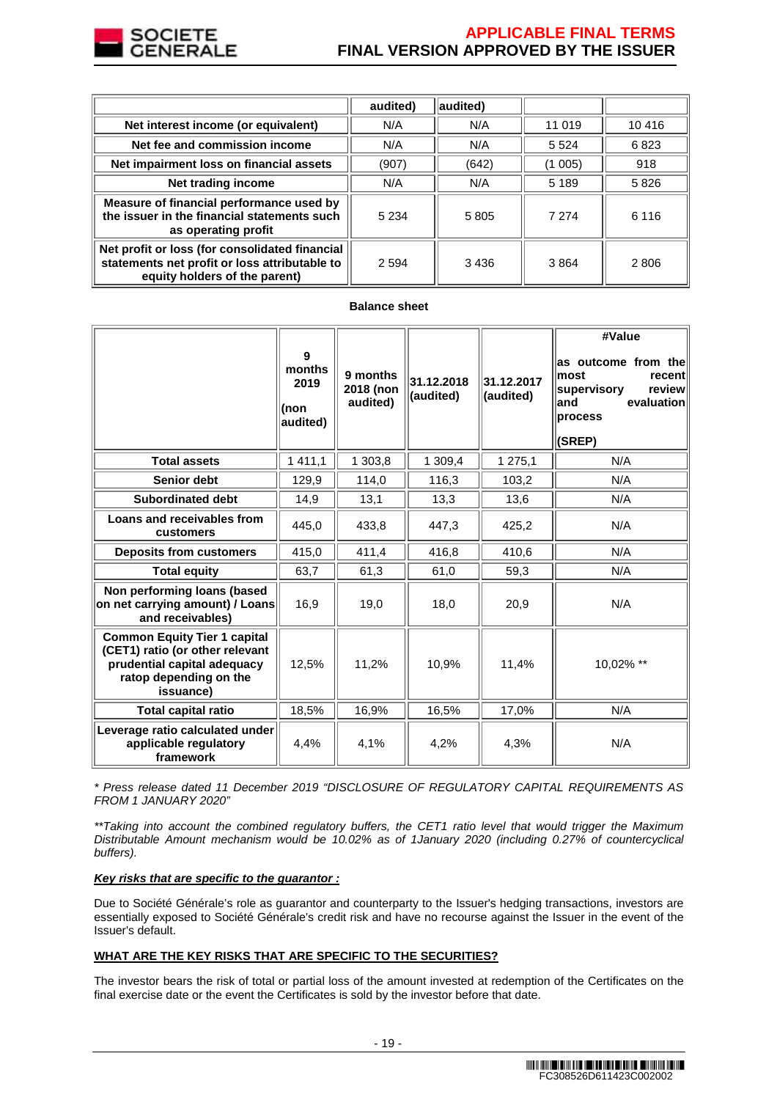

# **APPLICABLE FINAL TERMS FINAL VERSION APPROVED BY THE ISSUER**

|                                                                                                                                  | audited) | audited) |         |         |
|----------------------------------------------------------------------------------------------------------------------------------|----------|----------|---------|---------|
| Net interest income (or equivalent)                                                                                              | N/A      | N/A      | 11 019  | 10 4 16 |
| Net fee and commission income                                                                                                    | N/A      | N/A      | 5 5 2 4 | 6823    |
| Net impairment loss on financial assets                                                                                          | (907)    | (642)    | (1 005) | 918     |
| Net trading income                                                                                                               | N/A      | N/A      | 5 1 8 9 | 5826    |
| Measure of financial performance used by<br>the issuer in the financial statements such<br>as operating profit                   | 5 2 3 4  | 5805     | 7 2 7 4 | 6 1 1 6 |
| Net profit or loss (for consolidated financial<br>statements net profit or loss attributable to<br>equity holders of the parent) | 2 5 9 4  | 3436     | 3864    | 2806    |

## **Balance sheet**

|                                                                                                                                              | 9<br>months<br>2019<br>(non<br>audited) | 9 months<br>2018 (non<br>audited) | 31.12.2018<br>(audited) | 31.12.2017<br>(audited) | #Value<br>as outcome from the<br>most<br>recent<br>supervisory<br>review<br>evaluation<br>and<br>process<br>(SREP) |
|----------------------------------------------------------------------------------------------------------------------------------------------|-----------------------------------------|-----------------------------------|-------------------------|-------------------------|--------------------------------------------------------------------------------------------------------------------|
| <b>Total assets</b>                                                                                                                          | 1 4 1 1 , 1                             | 1 303,8                           | 1 309,4                 | 1 275,1                 | N/A                                                                                                                |
| <b>Senior debt</b>                                                                                                                           | 129,9                                   | 114,0                             | 116,3                   | 103,2                   | N/A                                                                                                                |
| <b>Subordinated debt</b>                                                                                                                     | 14,9                                    | 13,1                              | 13,3                    | 13,6                    | N/A                                                                                                                |
| Loans and receivables from<br>customers                                                                                                      | 445,0                                   | 433.8                             | 447.3                   | 425.2                   | N/A                                                                                                                |
| <b>Deposits from customers</b>                                                                                                               | 415,0                                   | 411,4                             | 416,8                   | 410,6                   | N/A                                                                                                                |
| <b>Total equity</b>                                                                                                                          | 63,7                                    | 61,3                              | 61,0                    | 59,3                    | N/A                                                                                                                |
| Non performing loans (based<br>on net carrying amount) / Loans<br>and receivables)                                                           | 16,9                                    | 19,0                              | 18,0                    | 20,9                    | N/A                                                                                                                |
| <b>Common Equity Tier 1 capital</b><br>(CET1) ratio (or other relevant<br>prudential capital adequacy<br>ratop depending on the<br>issuance) | 12.5%                                   | 11.2%                             | 10.9%                   | 11,4%                   | 10,02% **                                                                                                          |
| <b>Total capital ratio</b>                                                                                                                   | 18,5%                                   | 16,9%                             | 16,5%                   | 17,0%                   | N/A                                                                                                                |
| Leverage ratio calculated under<br>applicable regulatory<br>framework                                                                        | 4,4%                                    | 4,1%                              | 4,2%                    | 4,3%                    | N/A                                                                                                                |

\* Press release dated 11 December 2019 "DISCLOSURE OF REGULATORY CAPITAL REQUIREMENTS AS FROM 1 JANUARY 2020"

\*\*Taking into account the combined regulatory buffers, the CET1 ratio level that would trigger the Maximum Distributable Amount mechanism would be 10.02% as of 1January 2020 (including 0.27% of countercyclical buffers).

# **Key risks that are specific to the guarantor :**

Due to Société Générale's role as guarantor and counterparty to the Issuer's hedging transactions, investors are essentially exposed to Société Générale's credit risk and have no recourse against the Issuer in the event of the Issuer's default.

# **WHAT ARE THE KEY RISKS THAT ARE SPECIFIC TO THE SECURITIES?**

The investor bears the risk of total or partial loss of the amount invested at redemption of the Certificates on the final exercise date or the event the Certificates is sold by the investor before that date.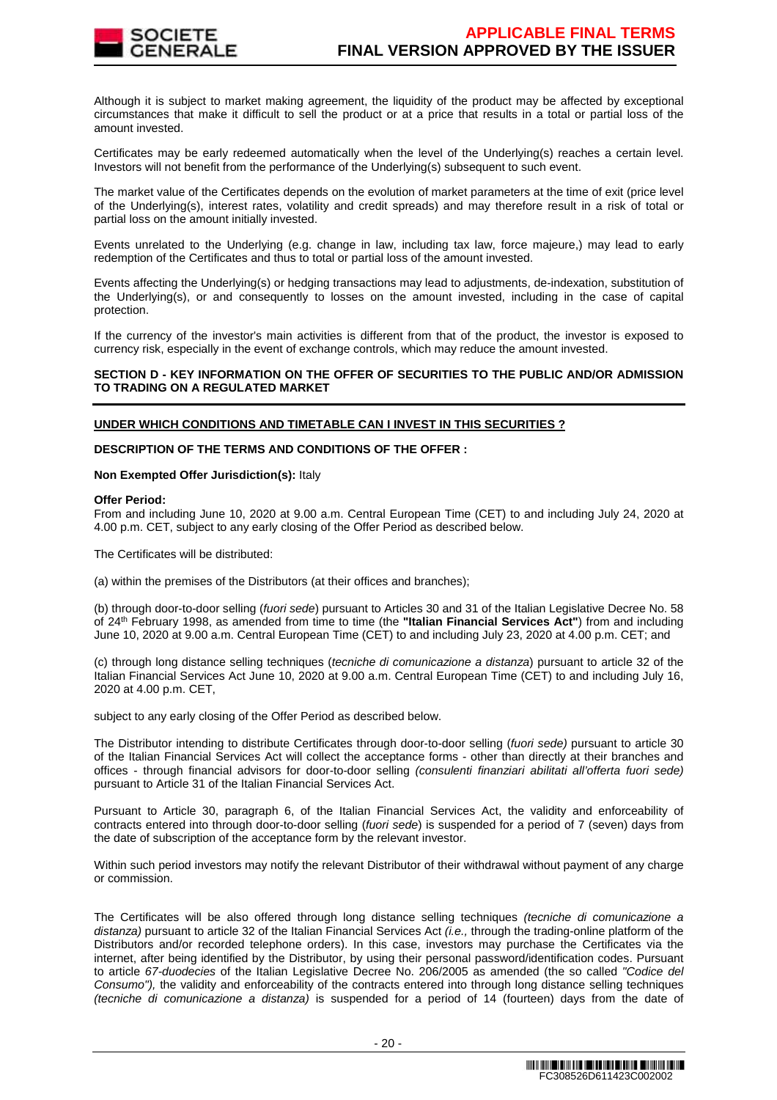

Although it is subject to market making agreement, the liquidity of the product may be affected by exceptional circumstances that make it difficult to sell the product or at a price that results in a total or partial loss of the amount invested.

Certificates may be early redeemed automatically when the level of the Underlying(s) reaches a certain level. Investors will not benefit from the performance of the Underlying(s) subsequent to such event.

The market value of the Certificates depends on the evolution of market parameters at the time of exit (price level of the Underlying(s), interest rates, volatility and credit spreads) and may therefore result in a risk of total or partial loss on the amount initially invested.

Events unrelated to the Underlying (e.g. change in law, including tax law, force majeure,) may lead to early redemption of the Certificates and thus to total or partial loss of the amount invested.

Events affecting the Underlying(s) or hedging transactions may lead to adjustments, de-indexation, substitution of the Underlying(s), or and consequently to losses on the amount invested, including in the case of capital protection.

If the currency of the investor's main activities is different from that of the product, the investor is exposed to currency risk, especially in the event of exchange controls, which may reduce the amount invested.

## **SECTION D - KEY INFORMATION ON THE OFFER OF SECURITIES TO THE PUBLIC AND/OR ADMISSION TO TRADING ON A REGULATED MARKET**

## **UNDER WHICH CONDITIONS AND TIMETABLE CAN I INVEST IN THIS SECURITIES ?**

## **DESCRIPTION OF THE TERMS AND CONDITIONS OF THE OFFER :**

## **Non Exempted Offer Jurisdiction(s):** Italy

#### **Offer Period:**

From and including June 10, 2020 at 9.00 a.m. Central European Time (CET) to and including July 24, 2020 at 4.00 p.m. CET, subject to any early closing of the Offer Period as described below.

The Certificates will be distributed:

(a) within the premises of the Distributors (at their offices and branches);

(b) through door-to-door selling (fuori sede) pursuant to Articles 30 and 31 of the Italian Legislative Decree No. 58 of 24th February 1998, as amended from time to time (the **"Italian Financial Services Act"**) from and including June 10, 2020 at 9.00 a.m. Central European Time (CET) to and including July 23, 2020 at 4.00 p.m. CET; and

(c) through long distance selling techniques (tecniche di comunicazione a distanza) pursuant to article 32 of the Italian Financial Services Act June 10, 2020 at 9.00 a.m. Central European Time (CET) to and including July 16, 2020 at 4.00 p.m. CET,

subject to any early closing of the Offer Period as described below.

The Distributor intending to distribute Certificates through door-to-door selling (fuori sede) pursuant to article 30 of the Italian Financial Services Act will collect the acceptance forms - other than directly at their branches and offices - through financial advisors for door-to-door selling (consulenti finanziari abilitati all'offerta fuori sede) pursuant to Article 31 of the Italian Financial Services Act.

Pursuant to Article 30, paragraph 6, of the Italian Financial Services Act, the validity and enforceability of contracts entered into through door-to-door selling (fuori sede) is suspended for a period of 7 (seven) days from the date of subscription of the acceptance form by the relevant investor.

Within such period investors may notify the relevant Distributor of their withdrawal without payment of any charge or commission.

The Certificates will be also offered through long distance selling techniques (tecniche di comunicazione a distanza) pursuant to article 32 of the Italian Financial Services Act  $(i.e.,$  through the trading-online platform of the Distributors and/or recorded telephone orders). In this case, investors may purchase the Certificates via the internet, after being identified by the Distributor, by using their personal password/identification codes. Pursuant to article 67-duodecies of the Italian Legislative Decree No. 206/2005 as amended (the so called "Codice del Consumo"), the validity and enforceability of the contracts entered into through long distance selling techniques (tecniche di comunicazione a distanza) is suspended for a period of 14 (fourteen) days from the date of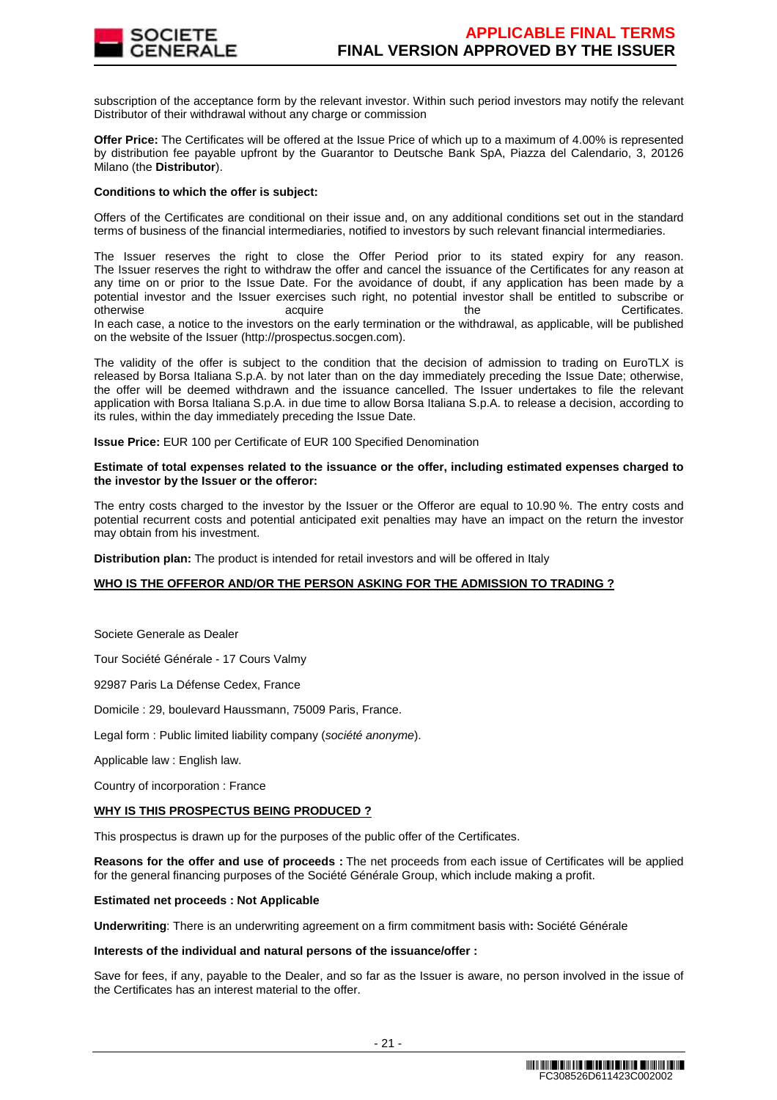

subscription of the acceptance form by the relevant investor. Within such period investors may notify the relevant Distributor of their withdrawal without any charge or commission

**Offer Price:** The Certificates will be offered at the Issue Price of which up to a maximum of 4.00% is represented by distribution fee payable upfront by the Guarantor to Deutsche Bank SpA, Piazza del Calendario, 3, 20126 Milano (the **Distributor**).

## **Conditions to which the offer is subject:**

Offers of the Certificates are conditional on their issue and, on any additional conditions set out in the standard terms of business of the financial intermediaries, notified to investors by such relevant financial intermediaries.

The Issuer reserves the right to close the Offer Period prior to its stated expiry for any reason. The Issuer reserves the right to withdraw the offer and cancel the issuance of the Certificates for any reason at any time on or prior to the Issue Date. For the avoidance of doubt, if any application has been made by a potential investor and the Issuer exercises such right, no potential investor shall be entitled to subscribe or otherwise acquire acquire the the Certificates. In each case, a notice to the investors on the early termination or the withdrawal, as applicable, will be published on the website of the Issuer (http://prospectus.socgen.com).

The validity of the offer is subject to the condition that the decision of admission to trading on EuroTLX is released by Borsa Italiana S.p.A. by not later than on the day immediately preceding the Issue Date; otherwise, the offer will be deemed withdrawn and the issuance cancelled. The Issuer undertakes to file the relevant application with Borsa Italiana S.p.A. in due time to allow Borsa Italiana S.p.A. to release a decision, according to its rules, within the day immediately preceding the Issue Date.

**Issue Price:** EUR 100 per Certificate of EUR 100 Specified Denomination

## **Estimate of total expenses related to the issuance or the offer, including estimated expenses charged to the investor by the Issuer or the offeror:**

The entry costs charged to the investor by the Issuer or the Offeror are equal to 10.90 %. The entry costs and potential recurrent costs and potential anticipated exit penalties may have an impact on the return the investor may obtain from his investment.

**Distribution plan:** The product is intended for retail investors and will be offered in Italy

## **WHO IS THE OFFEROR AND/OR THE PERSON ASKING FOR THE ADMISSION TO TRADING ?**

Societe Generale as Dealer

Tour Société Générale - 17 Cours Valmy

92987 Paris La Défense Cedex, France

Domicile : 29, boulevard Haussmann, 75009 Paris, France.

Legal form : Public limited liability company (société anonyme).

Applicable law : English law.

Country of incorporation : France

## **WHY IS THIS PROSPECTUS BEING PRODUCED ?**

This prospectus is drawn up for the purposes of the public offer of the Certificates.

**Reasons for the offer and use of proceeds :** The net proceeds from each issue of Certificates will be applied for the general financing purposes of the Société Générale Group, which include making a profit.

#### **Estimated net proceeds : Not Applicable**

**Underwriting**: There is an underwriting agreement on a firm commitment basis with**:** Société Générale

## **Interests of the individual and natural persons of the issuance/offer :**

Save for fees, if any, payable to the Dealer, and so far as the Issuer is aware, no person involved in the issue of the Certificates has an interest material to the offer.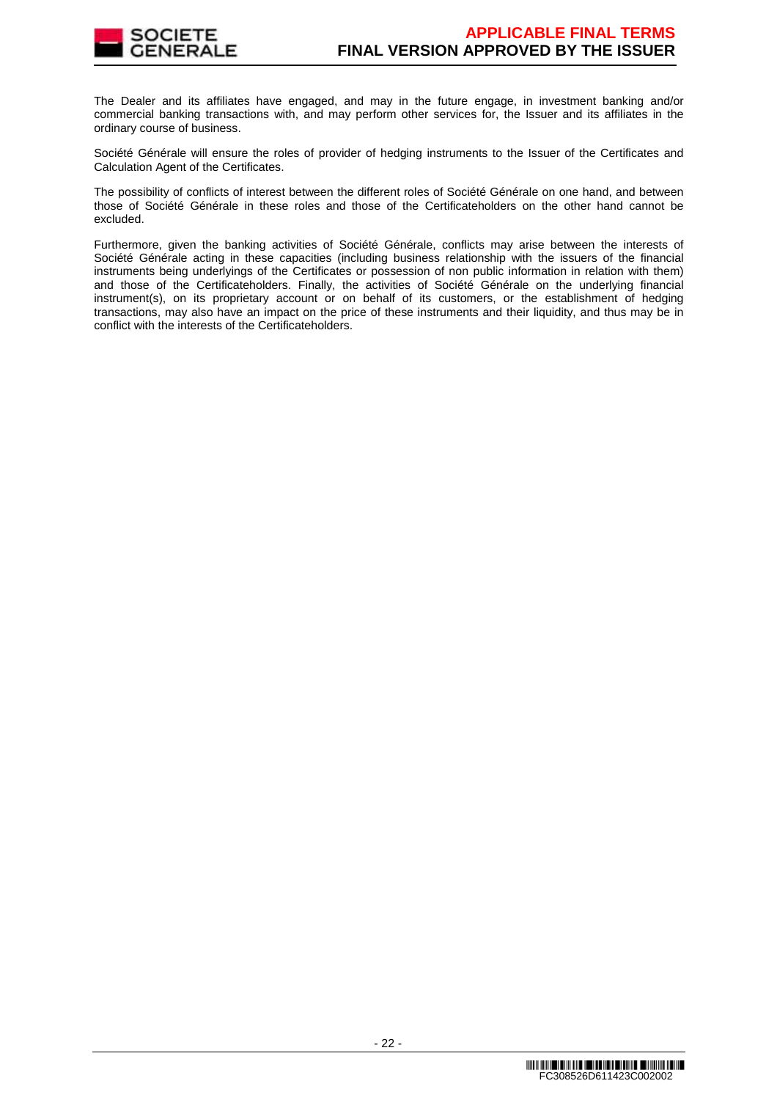

The Dealer and its affiliates have engaged, and may in the future engage, in investment banking and/or commercial banking transactions with, and may perform other services for, the Issuer and its affiliates in the ordinary course of business.

Société Générale will ensure the roles of provider of hedging instruments to the Issuer of the Certificates and Calculation Agent of the Certificates.

The possibility of conflicts of interest between the different roles of Société Générale on one hand, and between those of Société Générale in these roles and those of the Certificateholders on the other hand cannot be excluded.

Furthermore, given the banking activities of Société Générale, conflicts may arise between the interests of Société Générale acting in these capacities (including business relationship with the issuers of the financial instruments being underlyings of the Certificates or possession of non public information in relation with them) and those of the Certificateholders. Finally, the activities of Société Générale on the underlying financial instrument(s), on its proprietary account or on behalf of its customers, or the establishment of hedging transactions, may also have an impact on the price of these instruments and their liquidity, and thus may be in conflict with the interests of the Certificateholders.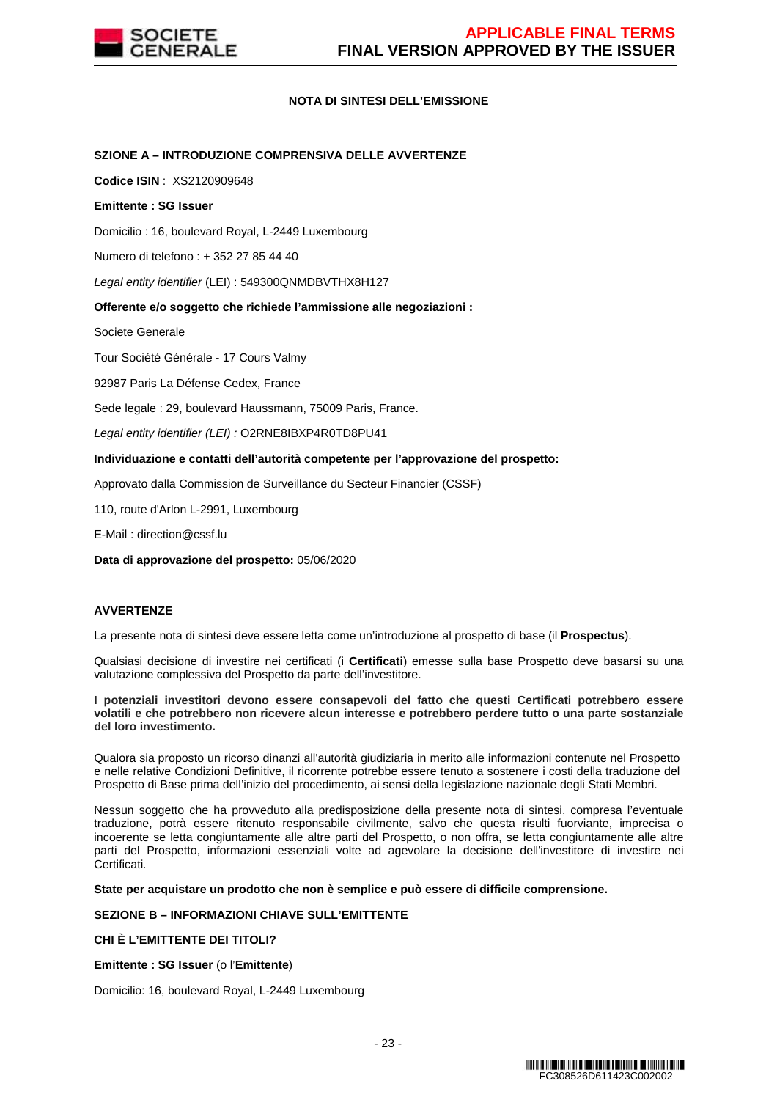

## **NOTA DI SINTESI DELL'EMISSIONE**

## **SZIONE A – INTRODUZIONE COMPRENSIVA DELLE AVVERTENZE**

**Codice ISIN** : XS2120909648

#### **Emittente : SG Issuer**

Domicilio : 16, boulevard Royal, L-2449 Luxembourg

Numero di telefono : + 352 27 85 44 40

Legal entity identifier (LEI) : 549300QNMDBVTHX8H127

#### **Offerente e/o soggetto che richiede l'ammissione alle negoziazioni :**

Societe Generale

Tour Société Générale - 17 Cours Valmy

92987 Paris La Défense Cedex, France

Sede legale : 29, boulevard Haussmann, 75009 Paris, France.

Legal entity identifier (LEI) : O2RNE8IBXP4R0TD8PU41

#### **Individuazione e contatti dell'autorità competente per l'approvazione del prospetto:**

Approvato dalla Commission de Surveillance du Secteur Financier (CSSF)

110, route d'Arlon L-2991, Luxembourg

E-Mail : direction@cssf.lu

**Data di approvazione del prospetto:** 05/06/2020

## **AVVERTENZE**

La presente nota di sintesi deve essere letta come un'introduzione al prospetto di base (il **Prospectus**).

Qualsiasi decisione di investire nei certificati (i **Certificati**) emesse sulla base Prospetto deve basarsi su una valutazione complessiva del Prospetto da parte dell'investitore.

#### **I potenziali investitori devono essere consapevoli del fatto che questi Certificati potrebbero essere volatili e che potrebbero non ricevere alcun interesse e potrebbero perdere tutto o una parte sostanziale del loro investimento.**

Qualora sia proposto un ricorso dinanzi all'autorità giudiziaria in merito alle informazioni contenute nel Prospetto e nelle relative Condizioni Definitive, il ricorrente potrebbe essere tenuto a sostenere i costi della traduzione del Prospetto di Base prima dell'inizio del procedimento, ai sensi della legislazione nazionale degli Stati Membri.

Nessun soggetto che ha provveduto alla predisposizione della presente nota di sintesi, compresa l'eventuale traduzione, potrà essere ritenuto responsabile civilmente, salvo che questa risulti fuorviante, imprecisa o incoerente se letta congiuntamente alle altre parti del Prospetto, o non offra, se letta congiuntamente alle altre parti del Prospetto, informazioni essenziali volte ad agevolare la decisione dell'investitore di investire nei Certificati.

**State per acquistare un prodotto che non è semplice e può essere di difficile comprensione.**

# **SEZIONE B – INFORMAZIONI CHIAVE SULL'EMITTENTE**

# **CHI È L'EMITTENTE DEI TITOLI?**

**Emittente : SG Issuer** (o l'**Emittente**)

Domicilio: 16, boulevard Royal, L-2449 Luxembourg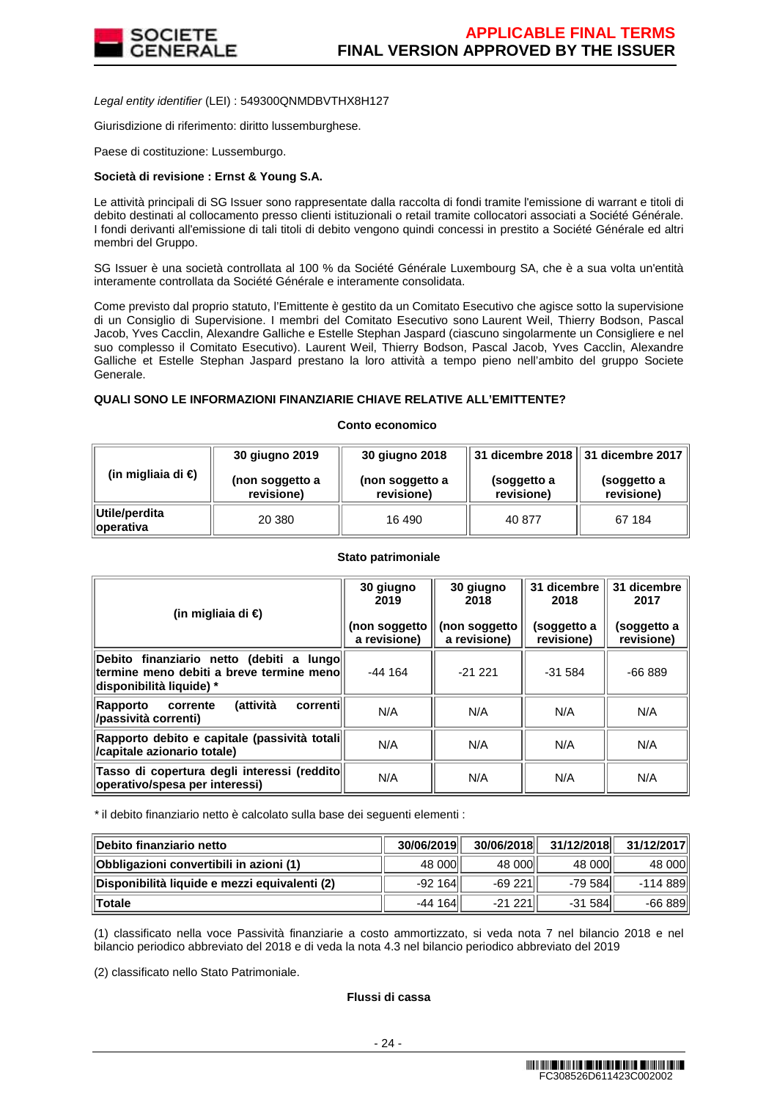

Legal entity identifier (LEI) : 549300QNMDBVTHX8H127

Giurisdizione di riferimento: diritto lussemburghese.

Paese di costituzione: Lussemburgo.

## **Società di revisione : Ernst & Young S.A.**

Le attività principali di SG Issuer sono rappresentate dalla raccolta di fondi tramite l'emissione di warrant e titoli di debito destinati al collocamento presso clienti istituzionali o retail tramite collocatori associati a Société Générale. I fondi derivanti all'emissione di tali titoli di debito vengono quindi concessi in prestito a Société Générale ed altri membri del Gruppo.

SG Issuer è una società controllata al 100 % da Société Générale Luxembourg SA, che è a sua volta un'entità interamente controllata da Société Générale e interamente consolidata.

Come previsto dal proprio statuto, l'Emittente è gestito da un Comitato Esecutivo che agisce sotto la supervisione di un Consiglio di Supervisione. I membri del Comitato Esecutivo sono Laurent Weil, Thierry Bodson, Pascal Jacob, Yves Cacclin, Alexandre Galliche e Estelle Stephan Jaspard (ciascuno singolarmente un Consigliere e nel suo complesso il Comitato Esecutivo). Laurent Weil, Thierry Bodson, Pascal Jacob, Yves Cacclin, Alexandre Galliche et Estelle Stephan Jaspard prestano la loro attività a tempo pieno nell'ambito del gruppo Societe Generale.

## **QUALI SONO LE INFORMAZIONI FINANZIARIE CHIAVE RELATIVE ALL'EMITTENTE?**

#### **Conto economico**

|                                    | 30 giugno 2019<br>30 giugno 2018 |                               |                           | 31 dicembre 2018   31 dicembre 2017 |
|------------------------------------|----------------------------------|-------------------------------|---------------------------|-------------------------------------|
| (in migliaia di €)                 | (non soggetto a<br>revisione)    | (non soggetto a<br>revisione) | (soggetto a<br>revisione) | (soggetto a<br>revisione)           |
| Utile/perdita<br><b>∥operativa</b> | 20 380                           | 16 490                        | 40 877                    | 67 184                              |

## **Stato patrimoniale**

| (in migliaia di €)                                                                                                                  | 30 giugno<br>2019<br>(non soggetto<br>a revisione) | 30 giugno<br>2018<br>(non soggetto<br>a revisione) | 31 dicembre<br>2018<br>(soggetto a<br>revisione) | 31 dicembre<br>2017<br>(soggetto a<br>revisione) |
|-------------------------------------------------------------------------------------------------------------------------------------|----------------------------------------------------|----------------------------------------------------|--------------------------------------------------|--------------------------------------------------|
| Debito finanziario netto (debiti<br>lungo∥<br>$\mathbf{a}$<br>termine meno debiti a breve termine meno<br> disponibilità liquide) * | $-44164$                                           | $-21221$                                           | $-31584$                                         | $-66889$                                         |
| (attività<br>correntil<br>Rapporto<br>corrente<br>/passività correnti)                                                              | N/A                                                | N/A                                                | N/A                                              | N/A                                              |
| Rapporto debito e capitale (passività totali<br>/capitale azionario totale)                                                         | N/A                                                | N/A                                                | N/A                                              | N/A                                              |
| Tasso di copertura degli interessi (reddito<br>operativo/spesa per interessi)                                                       | N/A                                                | N/A                                                | N/A                                              | N/A                                              |

\* il debito finanziario netto è calcolato sulla base dei seguenti elementi :

| ∥Debito finanziario netto                     | 30/06/2019 | 30/06/2018 | 31/12/2018 | 31/12/2017 |
|-----------------------------------------------|------------|------------|------------|------------|
| Obbligazioni convertibili in azioni (1)       | 48 000     | 48 000     | 48 000     | 48 000     |
| Disponibilità liquide e mezzi equivalenti (2) | $-92164$   | -69 221    | $-79584$   | -114 889   |
| ∥Totale                                       | $-44164$   | $-21221$   | $-31584$   | $-66889$   |

(1) classificato nella voce Passività finanziarie a costo ammortizzato, si veda nota 7 nel bilancio 2018 e nel bilancio periodico abbreviato del 2018 e di veda la nota 4.3 nel bilancio periodico abbreviato del 2019

(2) classificato nello Stato Patrimoniale.

# **Flussi di cassa**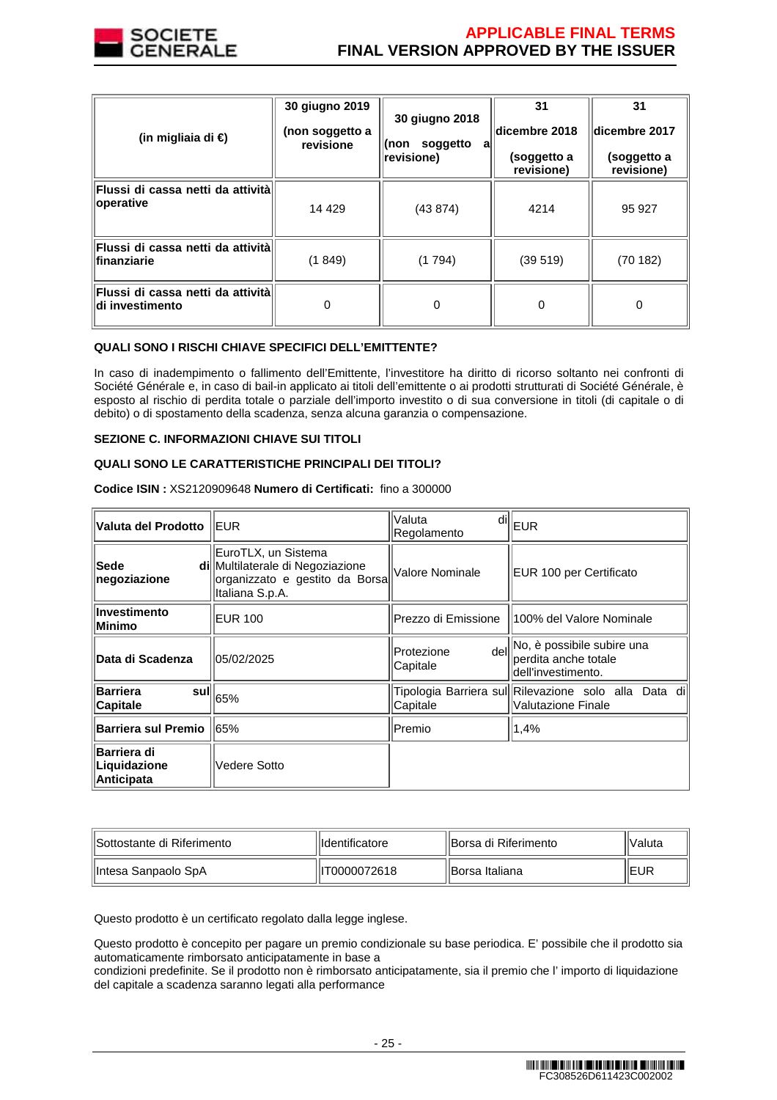

| (in migliaia di €)                                        | 30 giugno 2019<br>(non soggetto a<br>revisione | 30 giugno 2018<br>soggetto<br>(non<br>a<br>revisione) | 31<br>dicembre 2018<br>(soggetto a<br>revisione) | 31<br>dicembre 2017<br>(soggetto a<br>revisione) |
|-----------------------------------------------------------|------------------------------------------------|-------------------------------------------------------|--------------------------------------------------|--------------------------------------------------|
| Flussi di cassa netti da attività<br>operative            | 14 4 29                                        | (43 874)                                              | 4214                                             | 95 927                                           |
| <b>Flussi di cassa netti da attività l</b><br>finanziarie | (1 849)                                        | (1794)                                                | (39519)                                          | (70182)                                          |
| Flussi di cassa netti da attività<br>∣di investimento     | 0                                              | 0                                                     | 0                                                | 0                                                |

## **QUALI SONO I RISCHI CHIAVE SPECIFICI DELL'EMITTENTE?**

In caso di inadempimento o fallimento dell'Emittente, l'investitore ha diritto di ricorso soltanto nei confronti di Société Générale e, in caso di bail-in applicato ai titoli dell'emittente o ai prodotti strutturati di Société Générale, è esposto al rischio di perdita totale o parziale dell'importo investito o di sua conversione in titoli (di capitale o di debito) o di spostamento della scadenza, senza alcuna garanzia o compensazione.

## **SEZIONE C. INFORMAZIONI CHIAVE SUI TITOLI**

## **QUALI SONO LE CARATTERISTICHE PRINCIPALI DEI TITOLI?**

**Codice ISIN :** XS2120909648 **Numero di Certificati:** fino a 300000

| Valuta del Prodotto                              | <b>EUR</b>                                                                                                   | Valuta<br>dil<br>Regolamento   | EUR                                                                                    |
|--------------------------------------------------|--------------------------------------------------------------------------------------------------------------|--------------------------------|----------------------------------------------------------------------------------------|
| Sede<br>negoziazione                             | EuroTLX, un Sistema<br>di Multilaterale di Negoziazione<br>organizzato e gestito da Borsa<br>Italiana S.p.A. | Valore Nominale                | EUR 100 per Certificato                                                                |
| Investimento<br>Minimo                           | <b>EUR 100</b>                                                                                               | Prezzo di Emissione            | 100% del Valore Nominale                                                               |
| <b>Data di Scadenza</b>                          | 05/02/2025                                                                                                   | dell<br>Protezione<br>Capitale | No, è possibile subire una<br>perdita anche totale<br>dell'investimento.               |
| <b>Barriera</b><br>sulll<br><b>Capitale</b>      | 65%                                                                                                          | Capitale                       | Tipologia Barriera sul  Rilevazione solo alla<br>Data dil<br><b>Valutazione Finale</b> |
| <b>Barriera sul Premio</b>                       | 65%                                                                                                          | Premio                         | 1,4%                                                                                   |
| <b>Barriera di</b><br>Liquidazione<br>Anticipata | Vedere Sotto                                                                                                 |                                |                                                                                        |

| llSottostante di Riferimento | llIdentificatore | llBorsa di Riferimento | 'lValuta    |
|------------------------------|------------------|------------------------|-------------|
| ∥Intesa Sanpaolo SpA         | IIIT0000072618   | IBorsa Italiana        | <b>IEUR</b> |

Questo prodotto è un certificato regolato dalla legge inglese.

Questo prodotto è concepito per pagare un premio condizionale su base periodica. E' possibile che il prodotto sia automaticamente rimborsato anticipatamente in base a

condizioni predefinite. Se il prodotto non è rimborsato anticipatamente, sia il premio che l' importo di liquidazione del capitale a scadenza saranno legati alla performance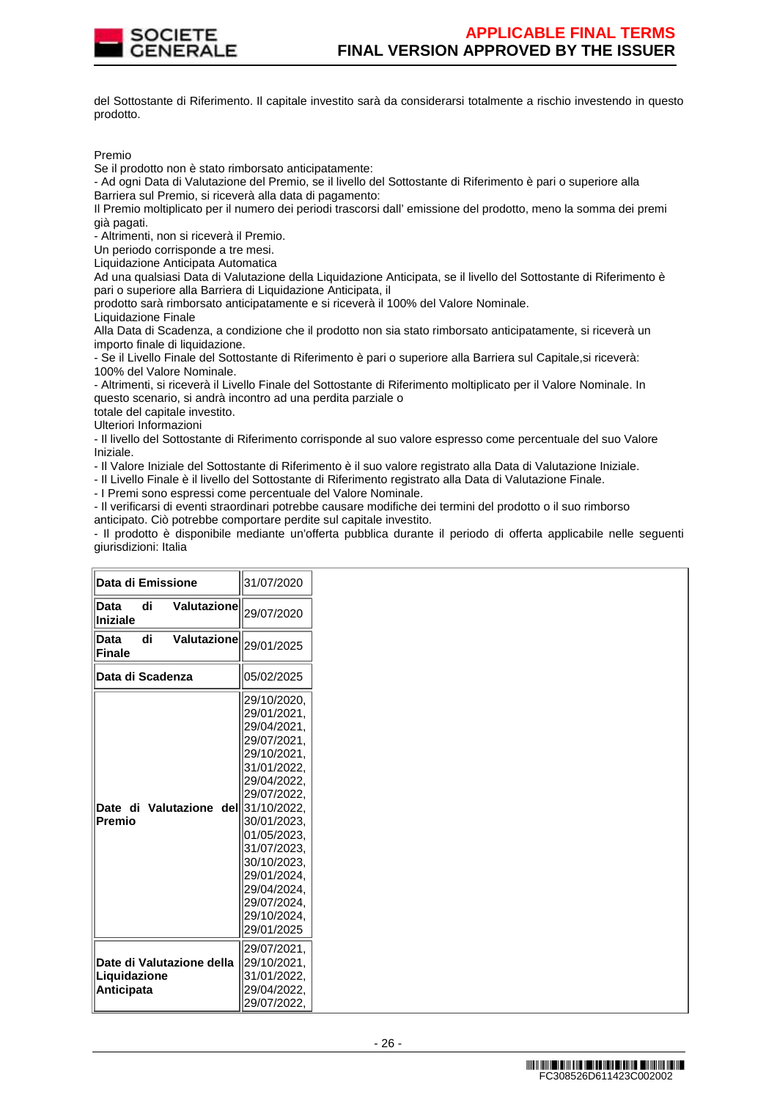

del Sottostante di Riferimento. Il capitale investito sarà da considerarsi totalmente a rischio investendo in questo prodotto.

#### Premio

Se il prodotto non è stato rimborsato anticipatamente:

- Ad ogni Data di Valutazione del Premio, se il livello del Sottostante di Riferimento è pari o superiore alla Barriera sul Premio, si riceverà alla data di pagamento:

Il Premio moltiplicato per il numero dei periodi trascorsi dall' emissione del prodotto, meno la somma dei premi già pagati.

- Altrimenti, non si riceverà il Premio.

Un periodo corrisponde a tre mesi.

Liquidazione Anticipata Automatica

Ad una qualsiasi Data di Valutazione della Liquidazione Anticipata, se il livello del Sottostante di Riferimento è pari o superiore alla Barriera di Liquidazione Anticipata, il

prodotto sarà rimborsato anticipatamente e si riceverà il 100% del Valore Nominale.

Liquidazione Finale

Alla Data di Scadenza, a condizione che il prodotto non sia stato rimborsato anticipatamente, si riceverà un importo finale di liquidazione.

- Se il Livello Finale del Sottostante di Riferimento è pari o superiore alla Barriera sul Capitale,si riceverà: 100% del Valore Nominale.

- Altrimenti, si riceverà il Livello Finale del Sottostante di Riferimento moltiplicato per il Valore Nominale. In questo scenario, si andrà incontro ad una perdita parziale o

totale del capitale investito.

Ulteriori Informazioni

- Il livello del Sottostante di Riferimento corrisponde al suo valore espresso come percentuale del suo Valore Iniziale.

- Il Valore Iniziale del Sottostante di Riferimento è il suo valore registrato alla Data di Valutazione Iniziale.

- Il Livello Finale è il livello del Sottostante di Riferimento registrato alla Data di Valutazione Finale.

- I Premi sono espressi come percentuale del Valore Nominale.

- Il verificarsi di eventi straordinari potrebbe causare modifiche dei termini del prodotto o il suo rimborso anticipato. Ciò potrebbe comportare perdite sul capitale investito.

- Il prodotto è disponibile mediante un'offerta pubblica durante il periodo di offerta applicabile nelle seguenti giurisdizioni: Italia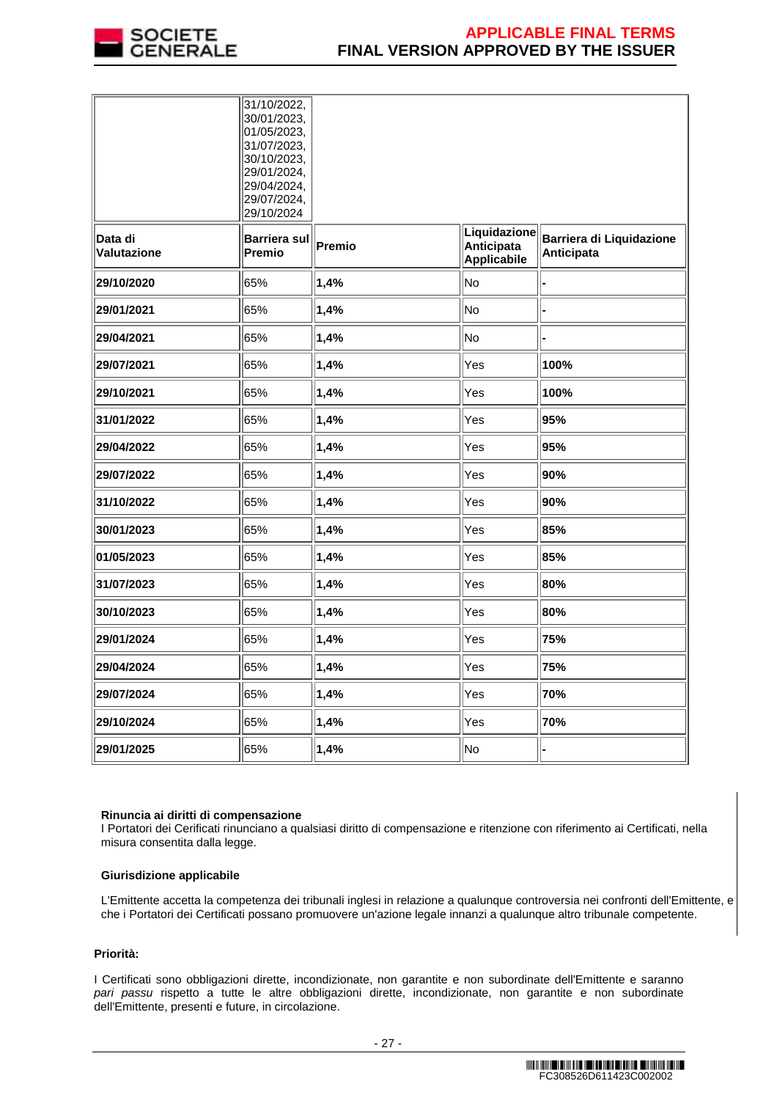

|                        | 31/10/2022,<br>30/01/2023,<br>01/05/2023,<br>31/07/2023,<br>30/10/2023,<br>29/01/2024,<br>29/04/2024,<br>29/07/2024,<br>29/10/2024 |        |                                                  |                                        |
|------------------------|------------------------------------------------------------------------------------------------------------------------------------|--------|--------------------------------------------------|----------------------------------------|
| Data di<br>Valutazione | Barriera sul<br><b>Premio</b>                                                                                                      | Premio | Liquidazione<br>Anticipata<br><b>Applicabile</b> | Barriera di Liquidazione<br>Anticipata |
| 29/10/2020             | 65%                                                                                                                                | 1,4%   | No                                               |                                        |
| 29/01/2021             | 65%                                                                                                                                | 1,4%   | No                                               |                                        |
| 29/04/2021             | 65%                                                                                                                                | 1,4%   | No                                               |                                        |
| 29/07/2021             | 65%                                                                                                                                | 1,4%   | Yes                                              | 100%                                   |
| 29/10/2021             | 65%                                                                                                                                | 1,4%   | Yes                                              | 100%                                   |
| 31/01/2022             | 65%                                                                                                                                | 1,4%   | Yes                                              | 95%                                    |
| 29/04/2022             | 65%                                                                                                                                | 1,4%   | Yes                                              | 95%                                    |
| 29/07/2022             | 65%                                                                                                                                | 1,4%   | Yes                                              | 90%                                    |
| 31/10/2022             | 65%                                                                                                                                | 1,4%   | Yes                                              | 90%                                    |
| 30/01/2023             | 65%                                                                                                                                | 1,4%   | Yes                                              | 85%                                    |
| 01/05/2023             | 65%                                                                                                                                | 1,4%   | Yes                                              | 85%                                    |
| 31/07/2023             | 65%                                                                                                                                | 1,4%   | Yes                                              | 80%                                    |
| 30/10/2023             | 65%                                                                                                                                | 1,4%   | Yes                                              | 80%                                    |
| 29/01/2024             | 65%                                                                                                                                | 1,4%   | Yes                                              | 75%                                    |
| 29/04/2024             | 65%                                                                                                                                | 1,4%   | Yes                                              | 75%                                    |
| 29/07/2024             | 65%                                                                                                                                | 1,4%   | Yes                                              | 70%                                    |
| 29/10/2024             | 65%                                                                                                                                | 1,4%   | Yes                                              | 70%                                    |
| 29/01/2025             | 65%                                                                                                                                | 1,4%   | No                                               |                                        |

## **Rinuncia ai diritti di compensazione**

I Portatori dei Cerificati rinunciano a qualsiasi diritto di compensazione e ritenzione con riferimento ai Certificati, nella misura consentita dalla legge.

## **Giurisdizione applicabile**

L'Emittente accetta la competenza dei tribunali inglesi in relazione a qualunque controversia nei confronti dell'Emittente, e che i Portatori dei Certificati possano promuovere un'azione legale innanzi a qualunque altro tribunale competente.

## **Priorità:**

I Certificati sono obbligazioni dirette, incondizionate, non garantite e non subordinate dell'Emittente e saranno pari passu rispetto a tutte le altre obbligazioni dirette, incondizionate, non garantite e non subordinate dell'Emittente, presenti e future, in circolazione.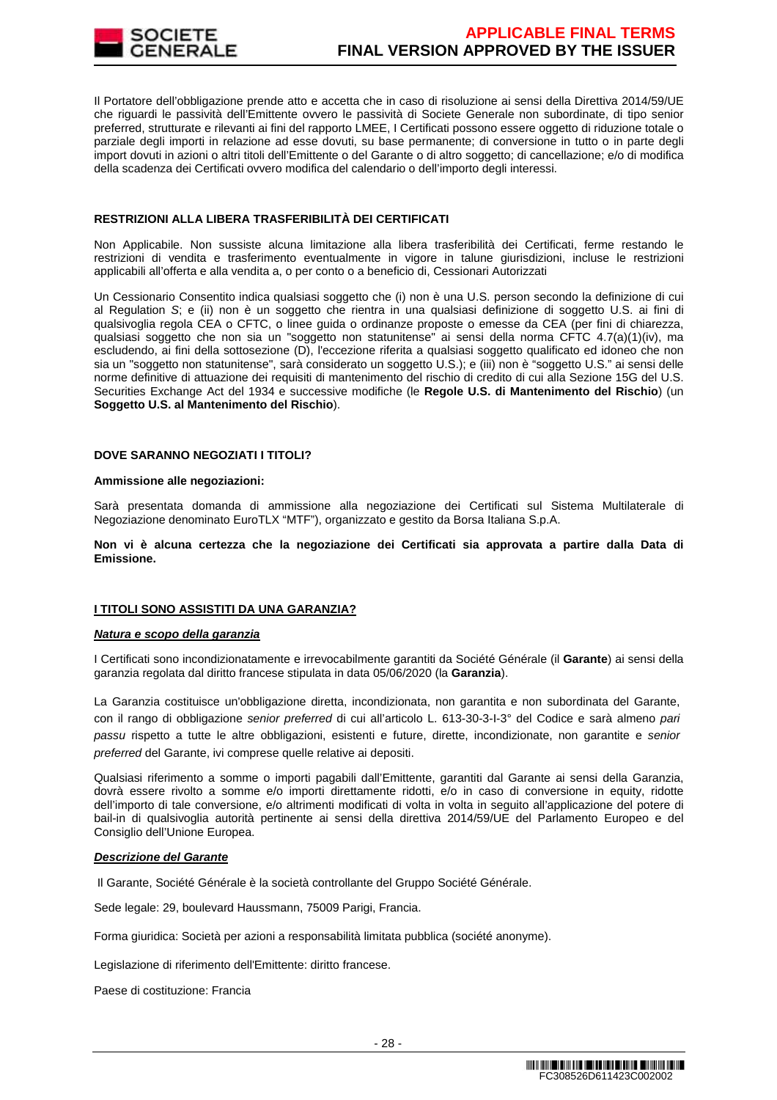

Il Portatore dell'obbligazione prende atto e accetta che in caso di risoluzione ai sensi della Direttiva 2014/59/UE che riguardi le passività dell'Emittente ovvero le passività di Societe Generale non subordinate, di tipo senior preferred, strutturate e rilevanti ai fini del rapporto LMEE, I Certificati possono essere oggetto di riduzione totale o parziale degli importi in relazione ad esse dovuti, su base permanente; di conversione in tutto o in parte degli import dovuti in azioni o altri titoli dell'Emittente o del Garante o di altro soggetto; di cancellazione; e/o di modifica della scadenza dei Certificati ovvero modifica del calendario o dell'importo degli interessi.

## **RESTRIZIONI ALLA LIBERA TRASFERIBILITÀ DEI CERTIFICATI**

Non Applicabile. Non sussiste alcuna limitazione alla libera trasferibilità dei Certificati, ferme restando le restrizioni di vendita e trasferimento eventualmente in vigore in talune giurisdizioni, incluse le restrizioni applicabili all'offerta e alla vendita a, o per conto o a beneficio di, Cessionari Autorizzati

Un Cessionario Consentito indica qualsiasi soggetto che (i) non è una U.S. person secondo la definizione di cui al Regulation S; e (ii) non è un soggetto che rientra in una qualsiasi definizione di soggetto U.S. ai fini di qualsivoglia regola CEA o CFTC, o linee guida o ordinanze proposte o emesse da CEA (per fini di chiarezza, qualsiasi soggetto che non sia un "soggetto non statunitense" ai sensi della norma CFTC 4.7(a)(1)(iv), ma escludendo, ai fini della sottosezione (D), l'eccezione riferita a qualsiasi soggetto qualificato ed idoneo che non sia un "soggetto non statunitense", sarà considerato un soggetto U.S.); e (iii) non è "soggetto U.S." ai sensi delle norme definitive di attuazione dei requisiti di mantenimento del rischio di credito di cui alla Sezione 15G del U.S. Securities Exchange Act del 1934 e successive modifiche (le **Regole U.S. di Mantenimento del Rischio**) (un **Soggetto U.S. al Mantenimento del Rischio**).

# **DOVE SARANNO NEGOZIATI I TITOLI?**

## **Ammissione alle negoziazioni:**

Sarà presentata domanda di ammissione alla negoziazione dei Certificati sul Sistema Multilaterale di Negoziazione denominato EuroTLX "MTF"), organizzato e gestito da Borsa Italiana S.p.A.

**Non vi è alcuna certezza che la negoziazione dei Certificati sia approvata a partire dalla Data di Emissione.**

# **I TITOLI SONO ASSISTITI DA UNA GARANZIA?**

## **Natura e scopo della garanzia**

I Certificati sono incondizionatamente e irrevocabilmente garantiti da Société Générale (il **Garante**) ai sensi della garanzia regolata dal diritto francese stipulata in data 05/06/2020 (la **Garanzia**).

La Garanzia costituisce un'obbligazione diretta, incondizionata, non garantita e non subordinata del Garante, con il rango di obbligazione senior preferred di cui all'articolo L. 613-30-3-I-3° del Codice e sarà almeno pari passu rispetto a tutte le altre obbligazioni, esistenti e future, dirette, incondizionate, non garantite e senior preferred del Garante, ivi comprese quelle relative ai depositi.

Qualsiasi riferimento a somme o importi pagabili dall'Emittente, garantiti dal Garante ai sensi della Garanzia, dovrà essere rivolto a somme e/o importi direttamente ridotti, e/o in caso di conversione in equity, ridotte dell'importo di tale conversione, e/o altrimenti modificati di volta in volta in seguito all'applicazione del potere di bail-in di qualsivoglia autorità pertinente ai sensi della direttiva 2014/59/UE del Parlamento Europeo e del Consiglio dell'Unione Europea.

## **Descrizione del Garante**

Il Garante, Société Générale è la società controllante del Gruppo Société Générale.

Sede legale: 29, boulevard Haussmann, 75009 Parigi, Francia.

Forma giuridica: Società per azioni a responsabilità limitata pubblica (société anonyme).

Legislazione di riferimento dell'Emittente: diritto francese.

Paese di costituzione: Francia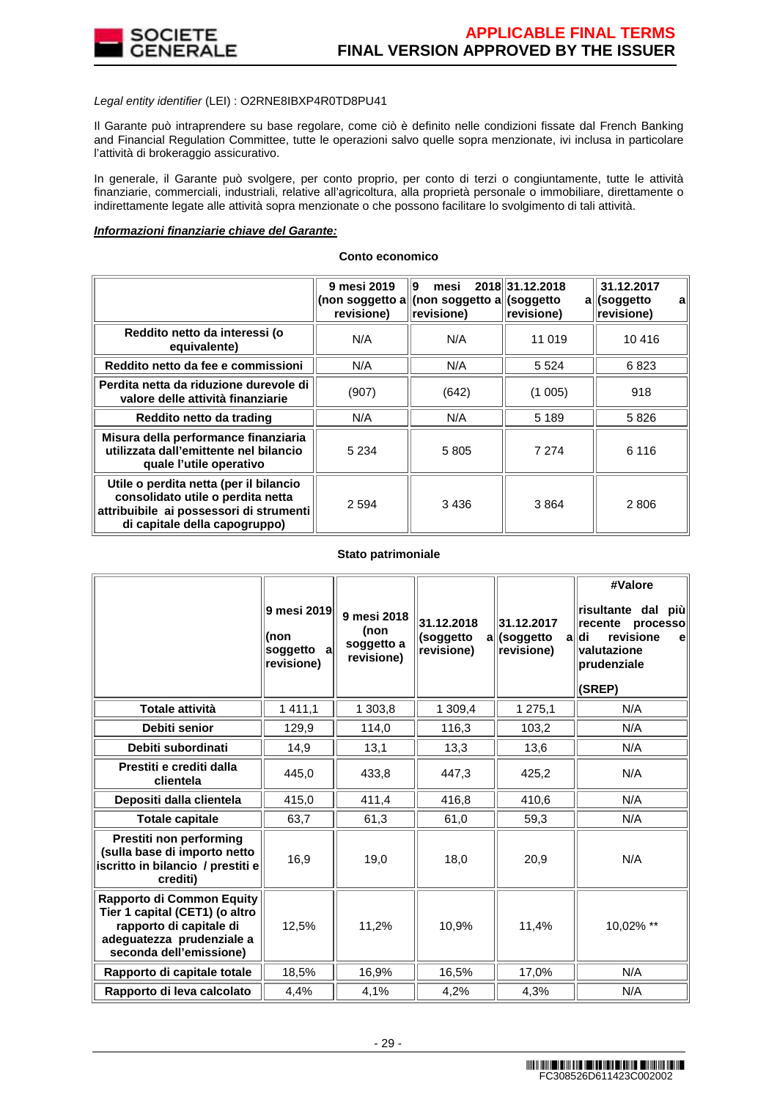

## Legal entity identifier (LEI) : O2RNE8IBXP4R0TD8PU41

Il Garante può intraprendere su base regolare, come ciò è definito nelle condizioni fissate dal French Banking and Financial Regulation Committee, tutte le operazioni salvo quelle sopra menzionate, ivi inclusa in particolare l'attività di brokeraggio assicurativo.

In generale, il Garante può svolgere, per conto proprio, per conto di terzi o congiuntamente, tutte le attività finanziarie, commerciali, industriali, relative all'agricoltura, alla proprietà personale o immobiliare, direttamente o indirettamente legate alle attività sopra menzionate o che possono facilitare lo svolgimento di tali attività.

## **Informazioni finanziarie chiave del Garante:**

|                                                                                                                                                         | 9 mesi 2019<br>revisione) | 19<br>mesi<br>(non soggetto all(non soggetto all(soggetto<br>revisione) | 2018 31.12.2018<br>revisione) | 31.12.2017<br>all(soggetto<br>a<br>revisione) |
|---------------------------------------------------------------------------------------------------------------------------------------------------------|---------------------------|-------------------------------------------------------------------------|-------------------------------|-----------------------------------------------|
| Reddito netto da interessi (o<br>equivalente)                                                                                                           | N/A                       | N/A                                                                     | 11 019                        | 10 416                                        |
| Reddito netto da fee e commissioni                                                                                                                      | N/A                       | N/A                                                                     | 5 5 2 4                       | 6823                                          |
| Perdita netta da riduzione durevole di<br>valore delle attività finanziarie                                                                             | (907)                     | (642)                                                                   | (1005)                        | 918                                           |
| Reddito netto da trading                                                                                                                                | N/A                       | N/A                                                                     | 5 1 8 9                       | 5826                                          |
| Misura della performance finanziaria<br>utilizzata dall'emittente nel bilancio<br>quale l'utile operativo                                               | 5 2 3 4                   | 5805                                                                    | 7 2 7 4                       | 6 116                                         |
| Utile o perdita netta (per il bilancio<br>consolidato utile o perdita netta<br>attribuibile ai possessori di strumenti<br>di capitale della capogruppo) | 2 5 9 4                   | 3436                                                                    | 3864                          | 2 806                                         |

#### **Conto economico**

## **Stato patrimoniale**

|                                                                                                                                                | 9 mesi 2019<br>l(non<br>soggetto<br>al<br>revisione) | 9 mesi 2018<br>(non<br>soggetto a<br>revisione) | 31.12.2018<br>(soggetto<br>a<br>revisione) | 31.12.2017<br>(soggetto<br>a<br>revisione) | #Valore<br>risultante dal<br>più<br>∣recente<br>processo<br>revisione<br>∣di<br>el<br>valutazione<br>prudenziale<br>(SREP) |
|------------------------------------------------------------------------------------------------------------------------------------------------|------------------------------------------------------|-------------------------------------------------|--------------------------------------------|--------------------------------------------|----------------------------------------------------------------------------------------------------------------------------|
| <b>Totale attività</b>                                                                                                                         | 1 4 1 1 , 1                                          | 1 303,8                                         | 1 309,4                                    | 1 275,1                                    | N/A                                                                                                                        |
| Debiti senior                                                                                                                                  | 129,9                                                | 114,0                                           | 116,3                                      | 103,2                                      | N/A                                                                                                                        |
| Debiti subordinati                                                                                                                             | 14,9                                                 | 13,1                                            | 13,3                                       | 13,6                                       | N/A                                                                                                                        |
| Prestiti e crediti dalla<br>clientela                                                                                                          | 445,0                                                | 433,8                                           | 447,3                                      | 425,2                                      | N/A                                                                                                                        |
| Depositi dalla clientela                                                                                                                       | 415,0                                                | 411,4                                           | 416,8                                      | 410,6                                      | N/A                                                                                                                        |
| <b>Totale capitale</b>                                                                                                                         | 63,7                                                 | 61,3                                            | 61,0                                       | 59,3                                       | N/A                                                                                                                        |
| Prestiti non performing<br>(sulla base di importo netto<br>iscritto in bilancio / prestiti e<br>crediti)                                       | 16,9                                                 | 19,0                                            | 18,0                                       | 20,9                                       | N/A                                                                                                                        |
| Rapporto di Common Equity<br>Tier 1 capital (CET1) (o altro<br>rapporto di capitale di<br>adeguatezza prudenziale a<br>seconda dell'emissione) | 12,5%                                                | 11,2%                                           | 10,9%                                      | 11,4%                                      | 10,02% **                                                                                                                  |
| Rapporto di capitale totale                                                                                                                    | 18,5%                                                | 16,9%                                           | 16,5%                                      | 17,0%                                      | N/A                                                                                                                        |
| Rapporto di leva calcolato                                                                                                                     | 4,4%                                                 | 4,1%                                            | 4,2%                                       | 4,3%                                       | N/A                                                                                                                        |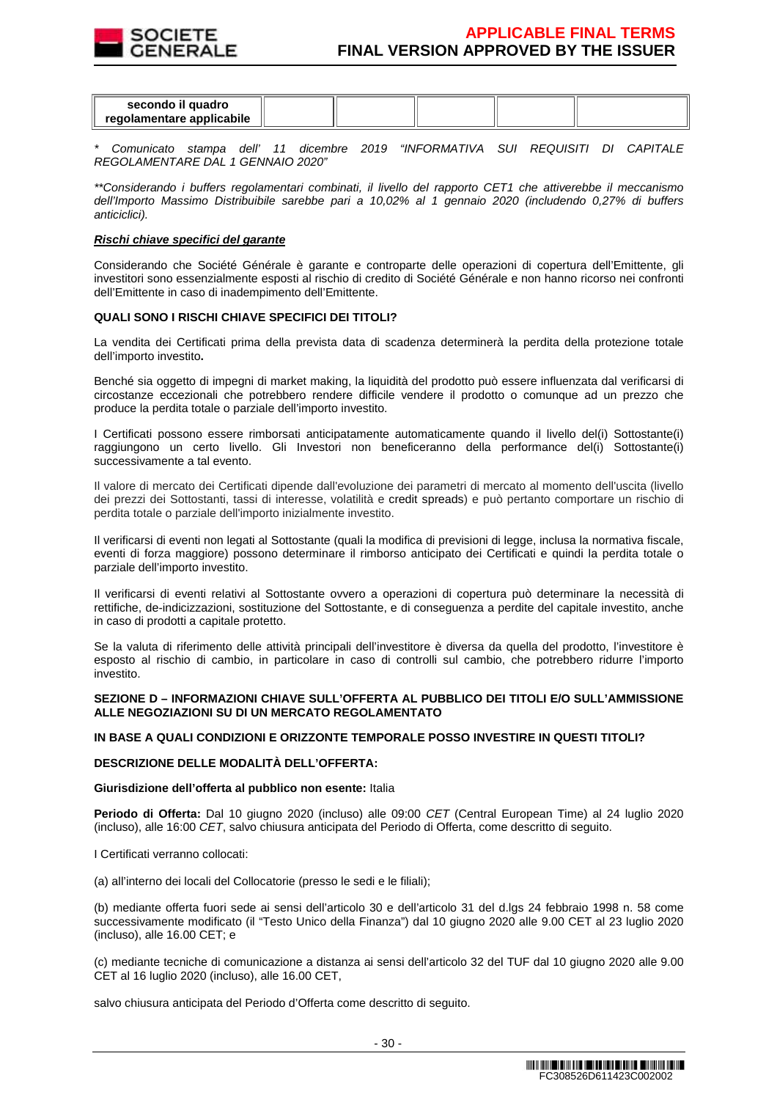

| secondo il quadro<br>regolamentare applicabile |  |  |  |
|------------------------------------------------|--|--|--|
|                                                |  |  |  |

Comunicato stampa dell' 11 dicembre 2019 "INFORMATIVA SUI REQUISITI DI CAPITALE REGOLAMENTARE DAL 1 GENNAIO 2020"

\*\*Considerando i buffers regolamentari combinati, il livello del rapporto CET1 che attiverebbe il meccanismo dell'Importo Massimo Distribuibile sarebbe pari a 10,02% al 1 gennaio 2020 (includendo 0,27% di buffers anticiclici).

## **Rischi chiave specifici del garante**

Considerando che Société Générale è garante e controparte delle operazioni di copertura dell'Emittente, gli investitori sono essenzialmente esposti al rischio di credito di Société Générale e non hanno ricorso nei confronti dell'Emittente in caso di inadempimento dell'Emittente.

## **QUALI SONO I RISCHI CHIAVE SPECIFICI DEI TITOLI?**

La vendita dei Certificati prima della prevista data di scadenza determinerà la perdita della protezione totale dell'importo investito**.**

Benché sia oggetto di impegni di market making, la liquidità del prodotto può essere influenzata dal verificarsi di circostanze eccezionali che potrebbero rendere difficile vendere il prodotto o comunque ad un prezzo che produce la perdita totale o parziale dell'importo investito.

I Certificati possono essere rimborsati anticipatamente automaticamente quando il livello del(i) Sottostante(i) raggiungono un certo livello. Gli Investori non beneficeranno della performance del(i) Sottostante(i) successivamente a tal evento.

Il valore di mercato dei Certificati dipende dall'evoluzione dei parametri di mercato al momento dell'uscita (livello dei prezzi dei Sottostanti, tassi di interesse, volatilità e credit spreads) e può pertanto comportare un rischio di perdita totale o parziale dell'importo inizialmente investito.

Il verificarsi di eventi non legati al Sottostante (quali la modifica di previsioni di legge, inclusa la normativa fiscale, eventi di forza maggiore) possono determinare il rimborso anticipato dei Certificati e quindi la perdita totale o parziale dell'importo investito.

Il verificarsi di eventi relativi al Sottostante ovvero a operazioni di copertura può determinare la necessità di rettifiche, de-indicizzazioni, sostituzione del Sottostante, e di conseguenza a perdite del capitale investito, anche in caso di prodotti a capitale protetto.

Se la valuta di riferimento delle attività principali dell'investitore è diversa da quella del prodotto, l'investitore è esposto al rischio di cambio, in particolare in caso di controlli sul cambio, che potrebbero ridurre l'importo investito.

## **SEZIONE D – INFORMAZIONI CHIAVE SULL'OFFERTA AL PUBBLICO DEI TITOLI E/O SULL'AMMISSIONE ALLE NEGOZIAZIONI SU DI UN MERCATO REGOLAMENTATO**

## **IN BASE A QUALI CONDIZIONI E ORIZZONTE TEMPORALE POSSO INVESTIRE IN QUESTI TITOLI?**

## **DESCRIZIONE DELLE MODALITÀ DELL'OFFERTA:**

## **Giurisdizione dell'offerta al pubblico non esente:** Italia

**Periodo di Offerta:** Dal 10 giugno 2020 (incluso) alle 09:00 CET (Central European Time) al 24 luglio 2020 (incluso), alle 16:00 CET, salvo chiusura anticipata del Periodo di Offerta, come descritto di seguito.

I Certificati verranno collocati:

(a) all'interno dei locali del Collocatorie (presso le sedi e le filiali);

(b) mediante offerta fuori sede ai sensi dell'articolo 30 e dell'articolo 31 del d.lgs 24 febbraio 1998 n. 58 come successivamente modificato (il "Testo Unico della Finanza") dal 10 giugno 2020 alle 9.00 CET al 23 luglio 2020 (incluso), alle 16.00 CET; e

(c) mediante tecniche di comunicazione a distanza ai sensi dell'articolo 32 del TUF dal 10 giugno 2020 alle 9.00 CET al 16 luglio 2020 (incluso), alle 16.00 CET,

salvo chiusura anticipata del Periodo d'Offerta come descritto di seguito.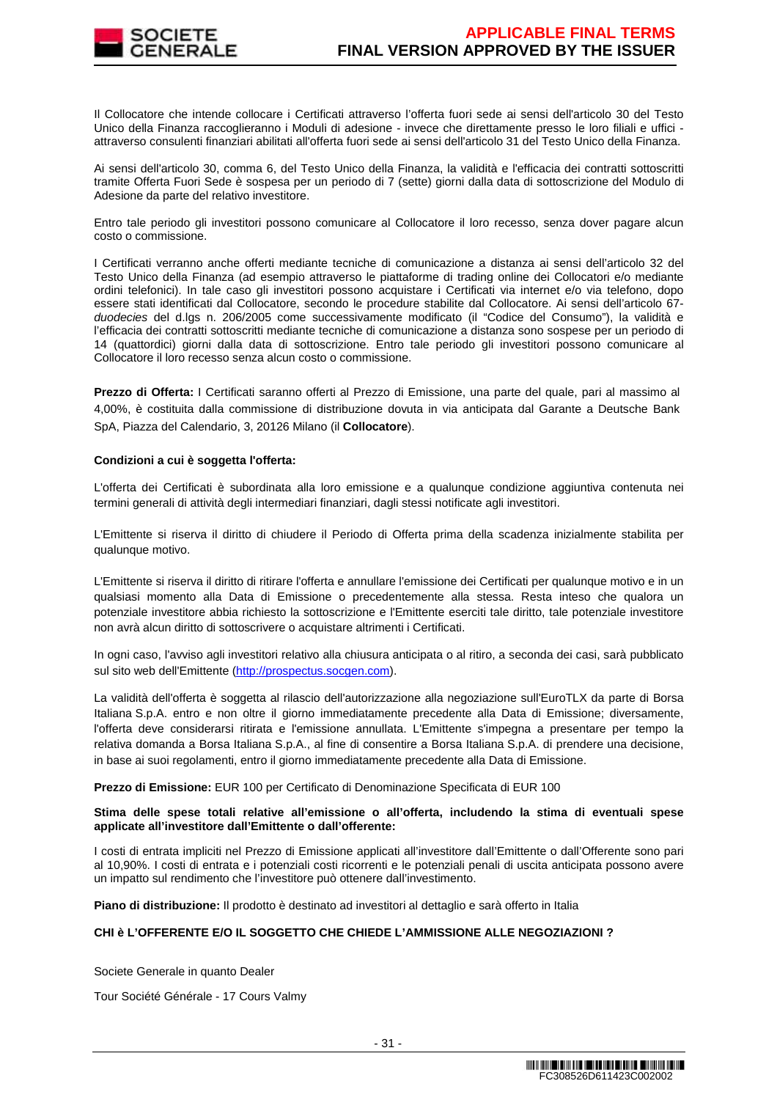

Il Collocatore che intende collocare i Certificati attraverso l'offerta fuori sede ai sensi dell'articolo 30 del Testo Unico della Finanza raccoglieranno i Moduli di adesione - invece che direttamente presso le loro filiali e uffici attraverso consulenti finanziari abilitati all'offerta fuori sede ai sensi dell'articolo 31 del Testo Unico della Finanza.

Ai sensi dell'articolo 30, comma 6, del Testo Unico della Finanza, la validità e l'efficacia dei contratti sottoscritti tramite Offerta Fuori Sede è sospesa per un periodo di 7 (sette) giorni dalla data di sottoscrizione del Modulo di Adesione da parte del relativo investitore.

Entro tale periodo gli investitori possono comunicare al Collocatore il loro recesso, senza dover pagare alcun costo o commissione.

I Certificati verranno anche offerti mediante tecniche di comunicazione a distanza ai sensi dell'articolo 32 del Testo Unico della Finanza (ad esempio attraverso le piattaforme di trading online dei Collocatori e/o mediante ordini telefonici). In tale caso gli investitori possono acquistare i Certificati via internet e/o via telefono, dopo essere stati identificati dal Collocatore, secondo le procedure stabilite dal Collocatore. Ai sensi dell'articolo 67 duodecies del d.lgs n. 206/2005 come successivamente modificato (il "Codice del Consumo"), la validità e l'efficacia dei contratti sottoscritti mediante tecniche di comunicazione a distanza sono sospese per un periodo di 14 (quattordici) giorni dalla data di sottoscrizione. Entro tale periodo gli investitori possono comunicare al Collocatore il loro recesso senza alcun costo o commissione.

**Prezzo di Offerta:** I Certificati saranno offerti al Prezzo di Emissione, una parte del quale, pari al massimo al 4,00%, è costituita dalla commissione di distribuzione dovuta in via anticipata dal Garante a Deutsche Bank SpA, Piazza del Calendario, 3, 20126 Milano (il **Collocatore**).

## **Condizioni a cui è soggetta l'offerta:**

L'offerta dei Certificati è subordinata alla loro emissione e a qualunque condizione aggiuntiva contenuta nei termini generali di attività degli intermediari finanziari, dagli stessi notificate agli investitori.

L'Emittente si riserva il diritto di chiudere il Periodo di Offerta prima della scadenza inizialmente stabilita per qualunque motivo.

L'Emittente si riserva il diritto di ritirare l'offerta e annullare l'emissione dei Certificati per qualunque motivo e in un qualsiasi momento alla Data di Emissione o precedentemente alla stessa. Resta inteso che qualora un potenziale investitore abbia richiesto la sottoscrizione e l'Emittente eserciti tale diritto, tale potenziale investitore non avrà alcun diritto di sottoscrivere o acquistare altrimenti i Certificati.

In ogni caso, l'avviso agli investitori relativo alla chiusura anticipata o al ritiro, a seconda dei casi, sarà pubblicato sul sito web dell'Emittente (http://prospectus.socgen.com).

La validità dell'offerta è soggetta al rilascio dell'autorizzazione alla negoziazione sull'EuroTLX da parte di Borsa Italiana S.p.A. entro e non oltre il giorno immediatamente precedente alla Data di Emissione; diversamente, l'offerta deve considerarsi ritirata e l'emissione annullata. L'Emittente s'impegna a presentare per tempo la relativa domanda a Borsa Italiana S.p.A., al fine di consentire a Borsa Italiana S.p.A. di prendere una decisione, in base ai suoi regolamenti, entro il giorno immediatamente precedente alla Data di Emissione.

**Prezzo di Emissione:** EUR 100 per Certificato di Denominazione Specificata di EUR 100

## **Stima delle spese totali relative all'emissione o all'offerta, includendo la stima di eventuali spese applicate all'investitore dall'Emittente o dall'offerente:**

I costi di entrata impliciti nel Prezzo di Emissione applicati all'investitore dall'Emittente o dall'Offerente sono pari al 10,90%. I costi di entrata e i potenziali costi ricorrenti e le potenziali penali di uscita anticipata possono avere un impatto sul rendimento che l'investitore può ottenere dall'investimento.

**Piano di distribuzione:** Il prodotto è destinato ad investitori al dettaglio e sarà offerto in Italia

# **CHI è L'OFFERENTE E/O IL SOGGETTO CHE CHIEDE L'AMMISSIONE ALLE NEGOZIAZIONI ?**

Societe Generale in quanto Dealer

Tour Société Générale - 17 Cours Valmy